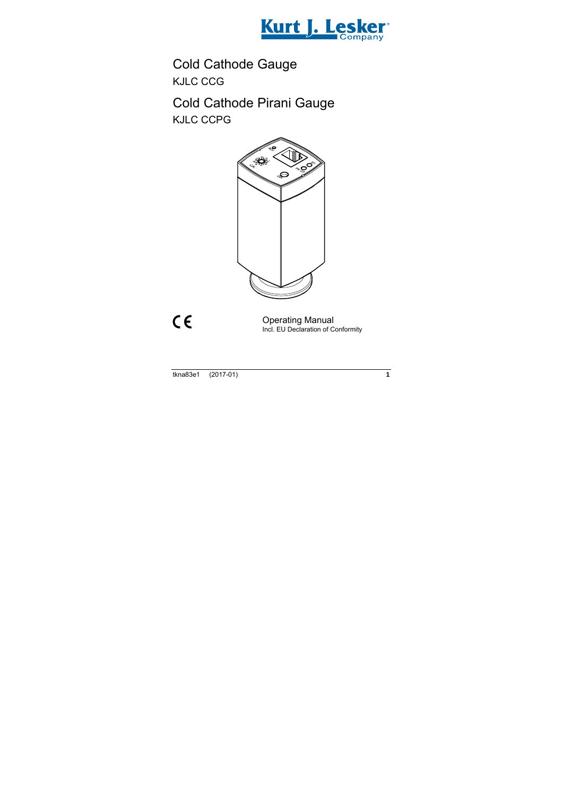

# Cold Cathode Gauge KJLC CCG

# Cold Cathode Pirani Gauge KJLC CCPG



 $C \in$ 

Operating Manual Incl. EU Declaration of Conformity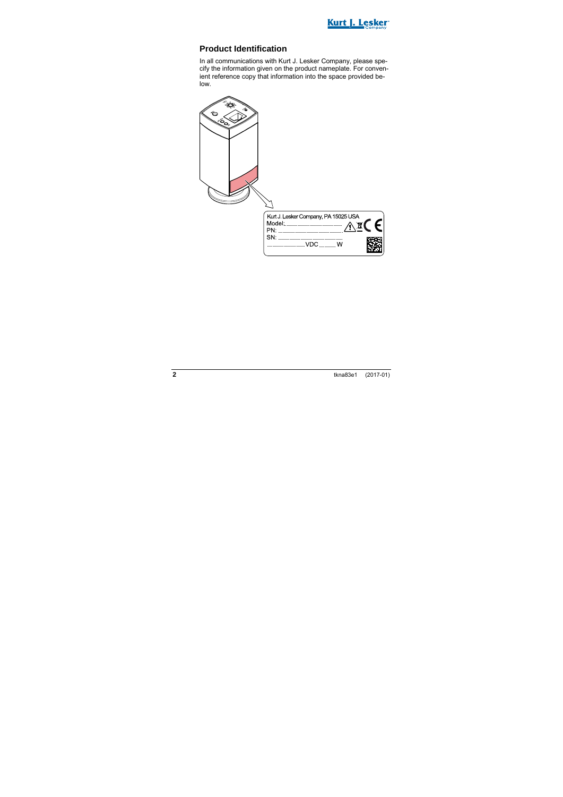

### **Product Identification**

In all communications with Kurt J. Lesker Company, please specify the information given on the product nameplate. For convenient reference copy that information into the space provided below.

| ő |                                                           |
|---|-----------------------------------------------------------|
|   |                                                           |
|   | Kurt J. Lesker Company, PA 15025 USA<br>$\epsilon$<br>PN: |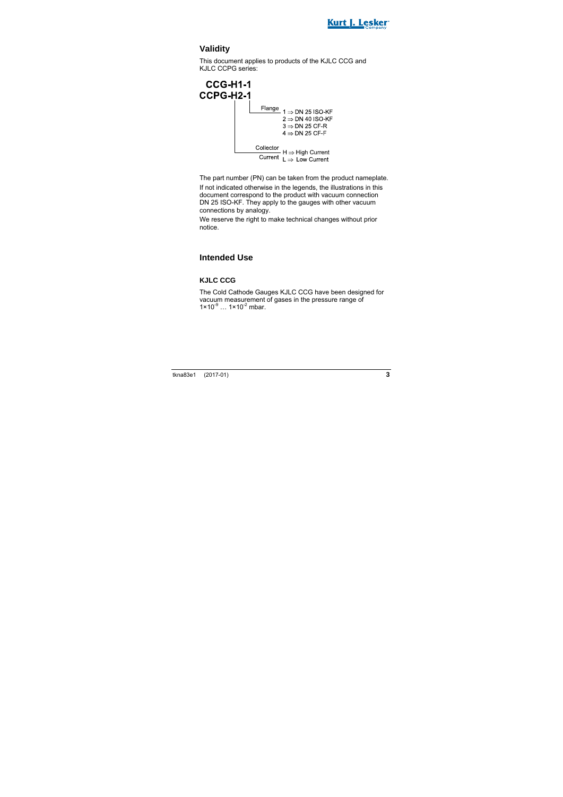

### **Validity**

This document applies to products of the KJLC CCG and KJLC CCPG series:



The part number (PN) can be taken from the product nameplate. If not indicated otherwise in the legends, the illustrations in this document correspond to the product with vacuum connection DN 25 ISO-KF. They apply to the gauges with other vacuum connections by analogy.

We reserve the right to make technical changes without prior notice.

### **Intended Use**

#### **KJLC CCG**

The Cold Cathode Gauges KJLC CCG have been designed for vacuum measurement of gases in the pressure range of  $1 \times 10^{-9}$  ...  $1 \times 10^{-2}$  mbar.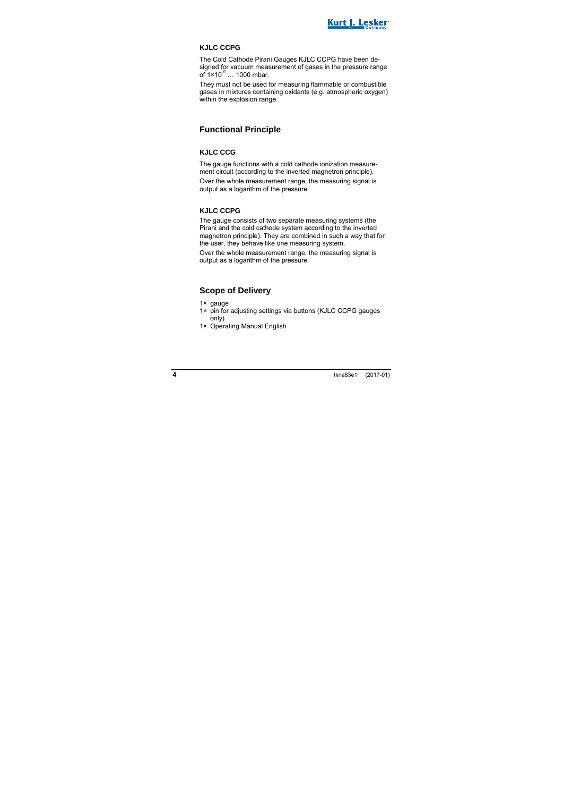

#### **KJLC CCPG**

The Cold Cathode Pirani Gauges KJLC CCPG have been designed for vacuum measurement of gases in the pressure range of  $1 \times 10^{-9}$  ... 1000 mbar.

They must not be used for measuring flammable or combustible gases in mixtures containing oxidants (e.g. atmospheric oxygen) within the explosion range.

### **Functional Principle**

#### **KJLC CCG**

The gauge functions with a cold cathode ionization measurement circuit (according to the inverted magnetron principle). Over the whole measurement range, the measuring signal is output as a logarithm of the pressure.

#### **KJLC CCPG**

The gauge consists of two separate measuring systems (the Pirani and the cold cathode system according to the inverted magnetron principle). They are combined in such a way that for the user, they behave like one measuring system.

Over the whole measurement range, the measuring signal is output as a logarithm of the pressure.

### **Scope of Delivery**

- 1× gauge
- 1× pin for adjusting settings via buttons (KJLC CCPG gauges only)
- 1× Operating Manual English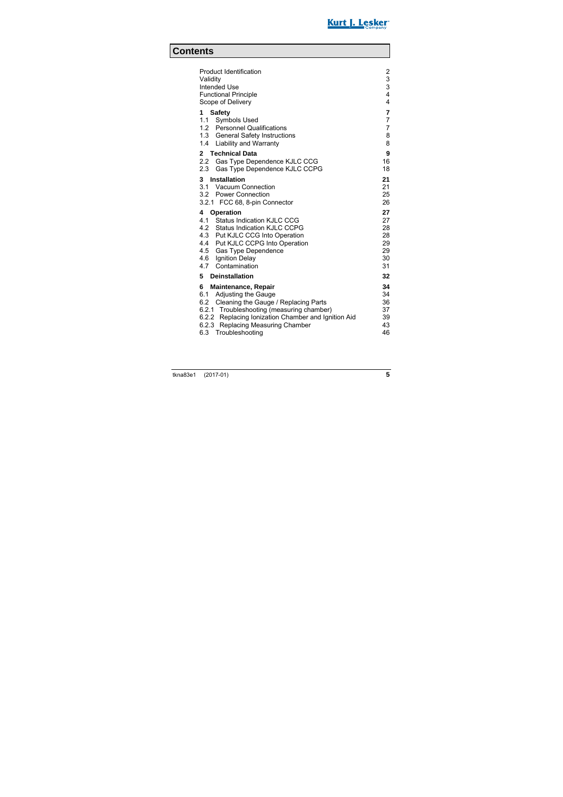

## **Contents**

| <b>Product Identification</b><br>Validity                                   | $\overline{2}$<br>3 |
|-----------------------------------------------------------------------------|---------------------|
| Intended Use                                                                | 3                   |
| <b>Functional Principle</b>                                                 | 4                   |
| Scope of Delivery                                                           | 4                   |
| <b>Safety</b><br>1                                                          | 7                   |
| 1.1 Symbols Used                                                            | 7                   |
| 1.2 Personnel Qualifications                                                | $\overline{7}$<br>8 |
| 1.3 General Safety Instructions<br>1.4 Liability and Warranty               | 8                   |
|                                                                             |                     |
| <b>Technical Data</b><br>$\mathbf{2}$                                       | 9                   |
| Gas Type Dependence KJLC CCG<br>2.2<br>2.3<br>Gas Type Dependence KJLC CCPG | 16<br>18            |
|                                                                             |                     |
| $\mathbf{3}$<br>Installation                                                | 21                  |
| 3.1 Vacuum Connection                                                       | 21<br>25            |
| 3.2 Power Connection<br>3.2.1 FCC 68, 8-pin Connector                       | 26                  |
|                                                                             |                     |
| Operation<br>4                                                              | 27                  |
| 4.1 Status Indication KJLC CCG<br>4.2 Status Indication KJLC CCPG           | 27                  |
| 4.3 Put KJLC CCG Into Operation                                             | 28<br>28            |
| 4.4 Put KJLC CCPG Into Operation                                            | 29                  |
| 4.5 Gas Type Dependence                                                     | 29                  |
| 4.6 Ignition Delay                                                          | 30                  |
| Contamination<br>4.7                                                        | 31                  |
| 5<br><b>Deinstallation</b>                                                  | 32                  |
| 6<br><b>Maintenance, Repair</b>                                             | 34                  |
| Adjusting the Gauge<br>6.1                                                  | 34                  |
| Cleaning the Gauge / Replacing Parts<br>6.2                                 | 36                  |
| 6.2.1 Troubleshooting (measuring chamber)                                   | 37                  |
| 6.2.2 Replacing Ionization Chamber and Ignition Aid                         | 39                  |
| 6.2.3 Replacing Measuring Chamber                                           | 43                  |
| 6.3 Troubleshooting                                                         | 46                  |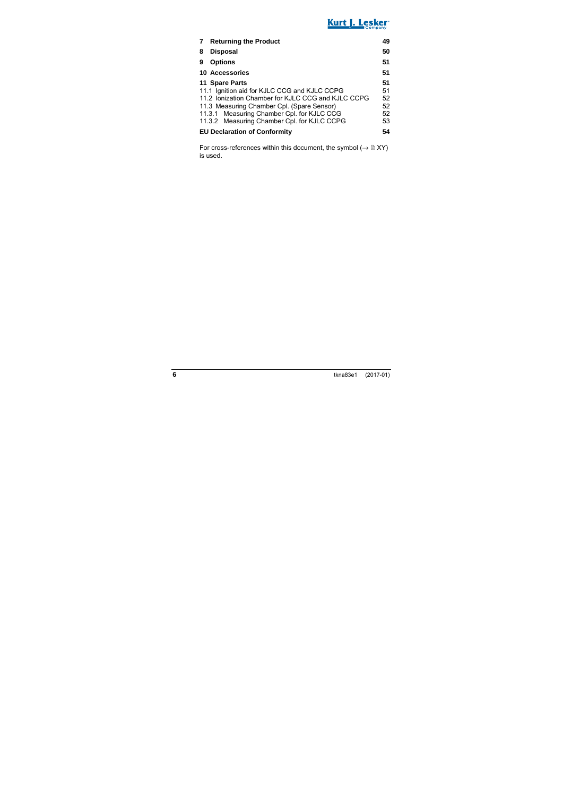## Kurt J. Lesker

| <b>Returning the Product</b>                       | 49 |
|----------------------------------------------------|----|
| <b>Disposal</b><br>8                               | 50 |
| <b>Options</b><br>9                                | 51 |
| 10 Accessories                                     | 51 |
| 11 Spare Parts                                     | 51 |
| 11.1 Ignition aid for KJLC CCG and KJLC CCPG       | 51 |
| 11.2 Ionization Chamber for KJLC CCG and KJLC CCPG | 52 |
| 11.3 Measuring Chamber Cpl. (Spare Sensor)         | 52 |
| 11.3.1 Measuring Chamber Cpl. for KJLC CCG         | 52 |
| 11.3.2 Measuring Chamber Cpl. for KJLC CCPG        | 53 |
| <b>EU Declaration of Conformity</b>                | 54 |

For cross-references within this document, the symbol  $(\rightarrow \mathbb{B} XY)$ is used.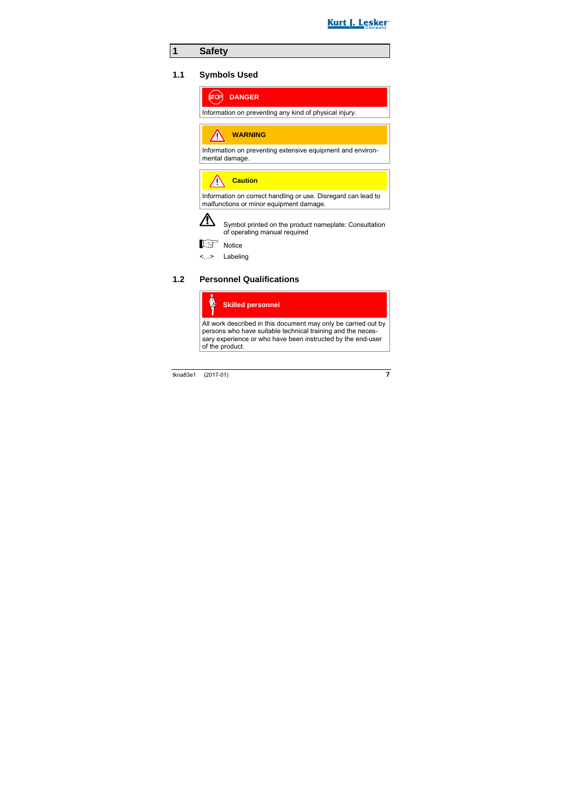

### **1 Safety**

#### **1.1 Symbols Used**



Information on preventing any kind of physical injury.

**WARNING**

Information on preventing extensive equipment and environmental damage.

**Caution**

Information on correct handling or use. Disregard can lead to malfunctions or minor equipment damage.



 Symbol printed on the product nameplate: Consultation of operating manual required



Notice

<…> Labeling

### **1.2 Personnel Qualifications**

#### **Skilled personnel**

All work described in this document may only be carried out by persons who have suitable technical training and the necessary experience or who have been instructed by the end-user of the product.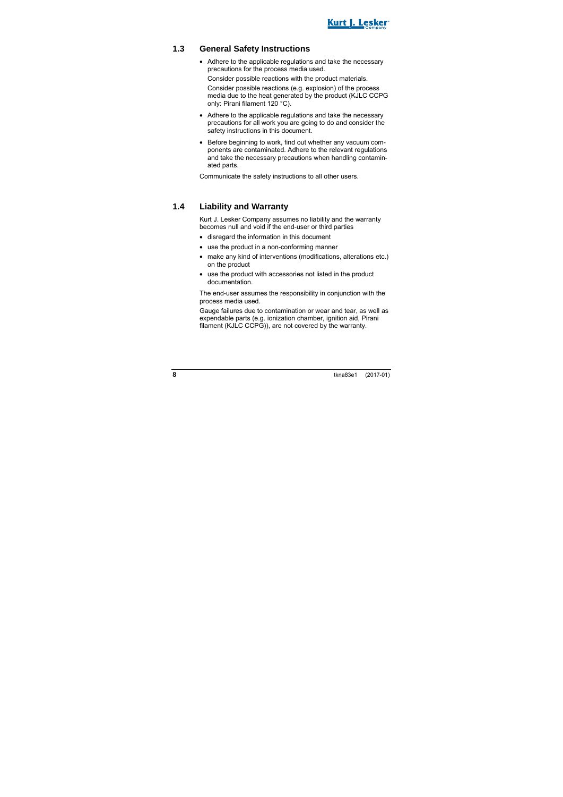

#### **1.3 General Safety Instructions**

• Adhere to the applicable regulations and take the necessary precautions for the process media used.

Consider possible reactions with the product materials.

Consider possible reactions (e.g. explosion) of the process media due to the heat generated by the product (KJLC CCPG only: Pirani filament 120 °C).

- Adhere to the applicable regulations and take the necessary precautions for all work you are going to do and consider the safety instructions in this document.
- Before beginning to work, find out whether any vacuum components are contaminated. Adhere to the relevant regulations and take the necessary precautions when handling contaminated parts.

Communicate the safety instructions to all other users.

#### **1.4 Liability and Warranty**

Kurt J. Lesker Company assumes no liability and the warranty becomes null and void if the end-user or third parties

- disregard the information in this document
- use the product in a non-conforming manner
- make any kind of interventions (modifications, alterations etc.) on the product
- use the product with accessories not listed in the product documentation.

The end-user assumes the responsibility in conjunction with the process media used.

Gauge failures due to contamination or wear and tear, as well as expendable parts (e.g. ionization chamber, ignition aid, Pirani filament (KJLC CCPG)), are not covered by the warranty.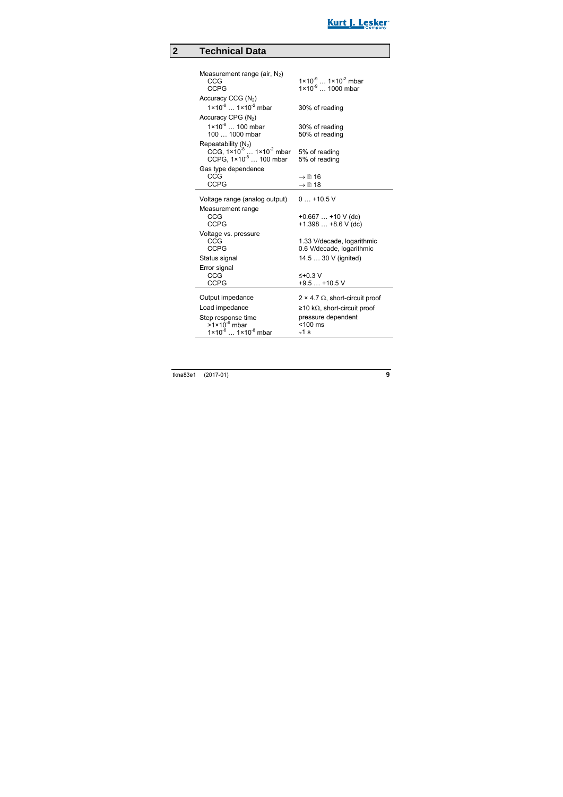

## **2 Technical Data**

| Measurement range (air, $N_2$ )                                                      |                                             |
|--------------------------------------------------------------------------------------|---------------------------------------------|
| CCG                                                                                  | $1 \times 10^{-9}$ $1 \times 10^{-2}$ mbar  |
| <b>CCPG</b>                                                                          | $1 \times 10^{-9}$ 1000 mbar                |
| Accuracy CCG (N <sub>2</sub> )                                                       |                                             |
| $1 \times 10^{-8}$ 1 $\times 10^{-2}$ mbar                                           | 30% of reading                              |
| Accuracy CPG (N <sub>2</sub> )                                                       |                                             |
| $1 \times 10^{-8}$ 100 mbar                                                          |                                             |
| 100  1000 mbar                                                                       | 30% of reading<br>50% of reading            |
|                                                                                      |                                             |
| Repeatability $(N_2)$                                                                | 5% of reading                               |
| CCG, $1 \times 10^{-8}$ $1 \times 10^{-2}$ mbar<br>CCPG, $1 \times 10^{-8}$ 100 mbar | 5% of reading                               |
| Gas type dependence                                                                  |                                             |
| CCG                                                                                  | $\rightarrow \mathbb{R}$ 16                 |
| CCPG                                                                                 | $\rightarrow \mathbb{B}$ 18                 |
|                                                                                      |                                             |
| Voltage range (analog output)                                                        | $0+10.5$ V                                  |
| Measurement range                                                                    |                                             |
| CCG                                                                                  | $+0.667+10 V$ (dc)                          |
| CCPG                                                                                 | $+1.398+8.6$ V (dc)                         |
| Voltage vs. pressure                                                                 |                                             |
| CCG                                                                                  | 1.33 V/decade, logarithmic                  |
| CCPG                                                                                 | 0.6 V/decade, logarithmic                   |
| Status signal                                                                        | 14.5  30 V (ignited)                        |
| Error signal                                                                         |                                             |
| CCG                                                                                  | $\leq +0.3$ V                               |
| <b>CCPG</b>                                                                          | $+9.5+10.5$ V                               |
| Output impedance                                                                     | $2 \times 4.7 \Omega$ , short-circuit proof |
| Load impedance                                                                       | ≥10 kΩ, short-circuit proof                 |
|                                                                                      |                                             |
| Step response time                                                                   | pressure dependent                          |
| $>1\times10^{-6}$ mbar<br>$1 \times 10^{-6}$ $1 \times 10^{-8}$ mbar                 | $< 100$ ms                                  |
|                                                                                      | $\approx$ 1 s                               |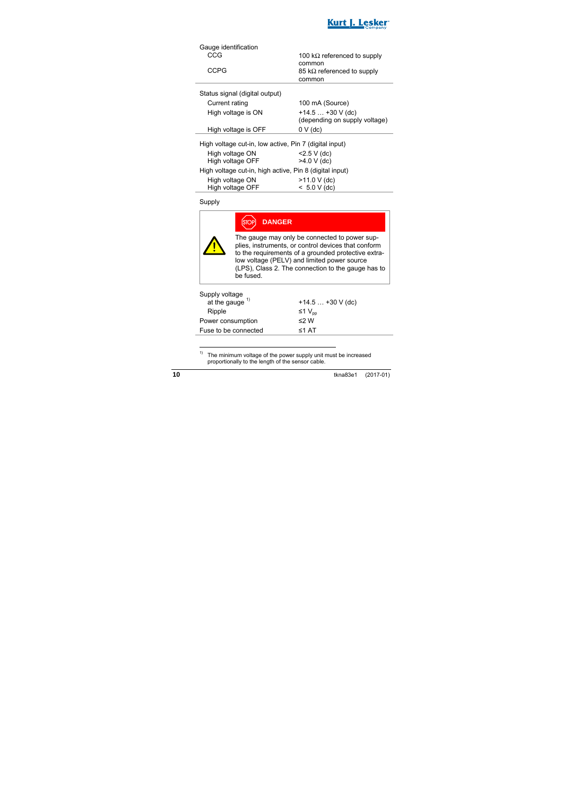

| Gauge identification                                    |                                     |  |
|---------------------------------------------------------|-------------------------------------|--|
| CCG                                                     | 100 k $\Omega$ referenced to supply |  |
|                                                         | common                              |  |
| CCPG                                                    | 85 k $\Omega$ referenced to supply  |  |
|                                                         | common                              |  |
| Status signal (digital output)                          |                                     |  |
| Current rating                                          | 100 mA (Source)                     |  |
| High voltage is ON                                      | $+14.5+30$ V (dc)                   |  |
|                                                         | (depending on supply voltage)       |  |
| High voltage is OFF                                     | $0 V$ (dc)                          |  |
| High voltage cut-in, low active, Pin 7 (digital input)  |                                     |  |
| High voltage ON                                         | $<$ 2.5 V (dc)                      |  |
| High voltage OFF                                        | $>4.0 V$ (dc)                       |  |
| High voltage cut-in, high active, Pin 8 (digital input) |                                     |  |
| High voltage ON                                         | $>11.0 V$ (dc)                      |  |
| High voltage OFF                                        | $< 5.0 V$ (dc)                      |  |

Supply

|                                   | <b>DANGER</b>                                                                                                                                                                                                                                                                 |
|-----------------------------------|-------------------------------------------------------------------------------------------------------------------------------------------------------------------------------------------------------------------------------------------------------------------------------|
|                                   | The gauge may only be connected to power sup-<br>plies, instruments, or control devices that conform<br>to the requirements of a grounded protective extra-<br>low voltage (PELV) and limited power source<br>(LPS), Class 2. The connection to the gauge has to<br>be fused. |
| Supply voltage at the gauge $1$ ) | +14.5 $\dots$ +30 V (dc)                                                                                                                                                                                                                                                      |

| Ripple               | ≤1 $V_{\text{nn}}$ |  |
|----------------------|--------------------|--|
| Power consumption    | $\leq$ 2 W         |  |
| Fuse to be connected | ≤1 AT              |  |
|                      |                    |  |

<sup>1)</sup> The minimum voltage of the power supply unit must be increased proportionally to the length of the sensor cable.

 $\overline{a}$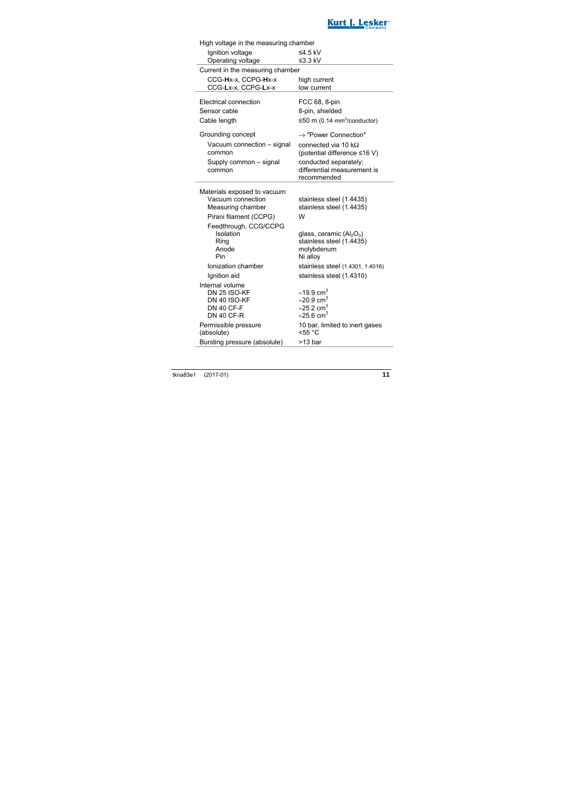

| High voltage in the measuring chamber                                                           |                                                                                                                                      |  |  |
|-------------------------------------------------------------------------------------------------|--------------------------------------------------------------------------------------------------------------------------------------|--|--|
| Ignition voltage                                                                                | ≤4.5 kV                                                                                                                              |  |  |
| Operating voltage                                                                               | $\leq$ 3.3 kV                                                                                                                        |  |  |
| Current in the measuring chamber                                                                |                                                                                                                                      |  |  |
| CCG-Hx-x, CCPG-Hx-x                                                                             | high current                                                                                                                         |  |  |
| CCG-Lx-x, CCPG-Lx-x                                                                             | low current                                                                                                                          |  |  |
| Electrical connection                                                                           | FCC 68, 8-pin                                                                                                                        |  |  |
| Sensor cable                                                                                    | 8-pin, shielded                                                                                                                      |  |  |
| Cable length                                                                                    | ≤50 m (0.14 mm <sup>2</sup> /conductor)                                                                                              |  |  |
| Grounding concept                                                                               | $\rightarrow$ "Power Connection"                                                                                                     |  |  |
| Vacuum connection - signal<br>common                                                            | connected via 10 $k\Omega$<br>(potential difference ≤16 V)                                                                           |  |  |
| Supply common - signal<br>common                                                                | conducted separately;<br>differential measurement is<br>recommended                                                                  |  |  |
| Materials exposed to vacuum<br>Vacuum connection<br>Measuring chamber<br>Pirani filament (CCPG) | stainless steel (1.4435)<br>stainless steel (1.4435)<br>W                                                                            |  |  |
| Feedthrough, CCG/CCPG<br>Isolation<br>Ring<br>Anode<br>Pin                                      | glass, ceramic $(AI_2O_3)$<br>stainless steel (1.4435)<br>molybdenum<br>Ni alloy                                                     |  |  |
| Ionization chamber                                                                              | stainless steel (1.4301, 1.4016)                                                                                                     |  |  |
| Ignition aid                                                                                    | stainless steel (1.4310)                                                                                                             |  |  |
| Internal volume<br>DN 25 ISO-KF<br>DN 40 ISO-KF<br><b>DN 40 CF-F</b><br><b>DN 40 CF-R</b>       | $\approx$ 19.9 cm <sup>3</sup><br>$\approx$ 20.9 cm <sup>3</sup><br>$\approx$ 25.2 cm <sup>3</sup><br>$\approx$ 25.6 cm <sup>3</sup> |  |  |
| Permissible pressure<br>(absolute)                                                              | 10 bar, limited to inert gases<br>$<$ 55 °C                                                                                          |  |  |
| Bursting pressure (absolute)                                                                    | >13 bar                                                                                                                              |  |  |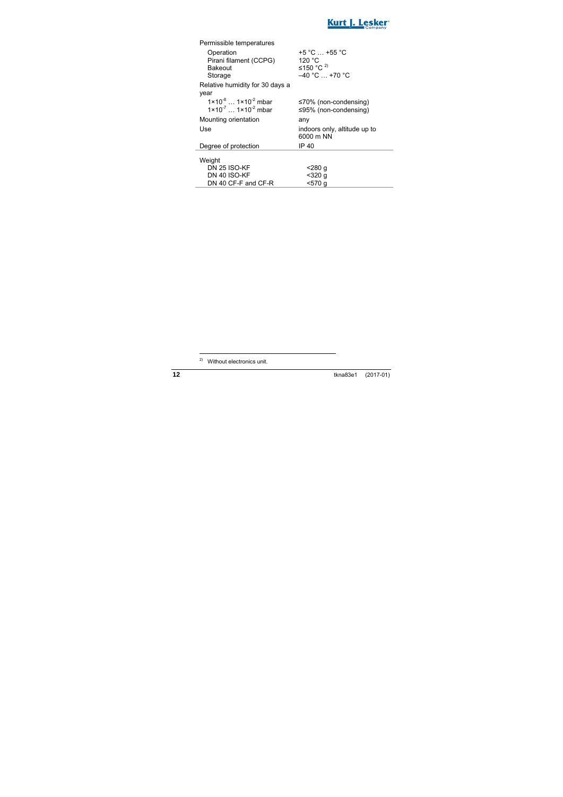

| Permissible temperatures                   |                              |
|--------------------------------------------|------------------------------|
| Operation                                  | $+5 °C  +55 °C$              |
| Pirani filament (CCPG)                     | 120 °C                       |
| Bakeout                                    | ≤150 °C <sup>2)</sup>        |
| Storage                                    | $-40 °C  +70 °C$             |
| Relative humidity for 30 days a            |                              |
| year                                       |                              |
| $1 \times 10^{-8}$ $1 \times 10^{-2}$ mbar | $\leq 70\%$ (non-condensing) |
| $1 \times 10^{-7}$ $1 \times 10^{-2}$ mbar | $\leq$ 95% (non-condensing)  |
| Mounting orientation                       | any                          |
| Use                                        | indoors only, altitude up to |
|                                            | 6000 m NN                    |
| Degree of protection                       |                              |
|                                            | IP 40                        |
|                                            |                              |
| Weight                                     |                              |
| <b>DN 25 ISO-KF</b>                        | <280 q                       |
| DN 40 ISO-KF<br>DN 40 CF-F and CF-R        | $320 q$<br><570 g            |

1

<sup>&</sup>lt;sup>2)</sup> Without electronics unit.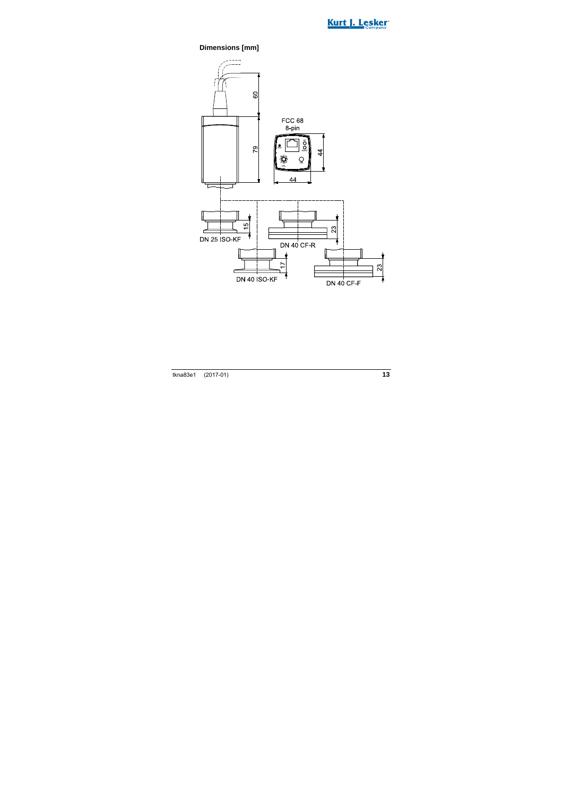

#### **Dimensions [mm]**

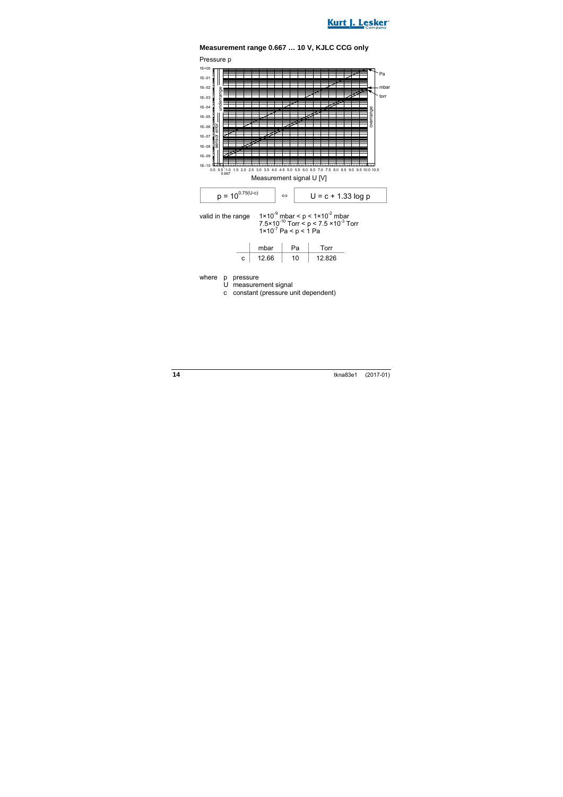



#### **Measurement range 0.667 … 10 V, KJLC CCG only**

where p pressure

U measurement signal

c constant (pressure unit dependent)

c | 12.66 | 10 | 12.826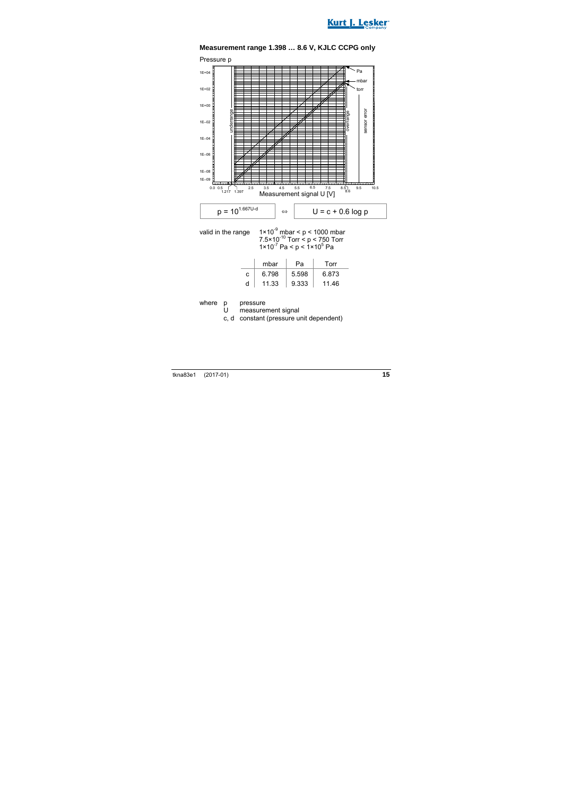

**Measurement range 1.398 … 8.6 V, KJLC CCPG only** 

valid in the range  $1 \times 10^{-9}$  mbar < p < 1000 mbar 7.5 $\times$ 10<sup>-10</sup> Torr < p < 750 Torr  $1 \times 10^{-7}$  Pa < p <  $1 \times 10^{5}$  Pa

|   | mbar  | Pа    | Torr  |
|---|-------|-------|-------|
| c | 6.798 | 5.598 | 6.873 |
| d | 11.33 | 9.333 | 1146  |

where p pressure<br>U measure

measurement signal

c, d constant (pressure unit dependent)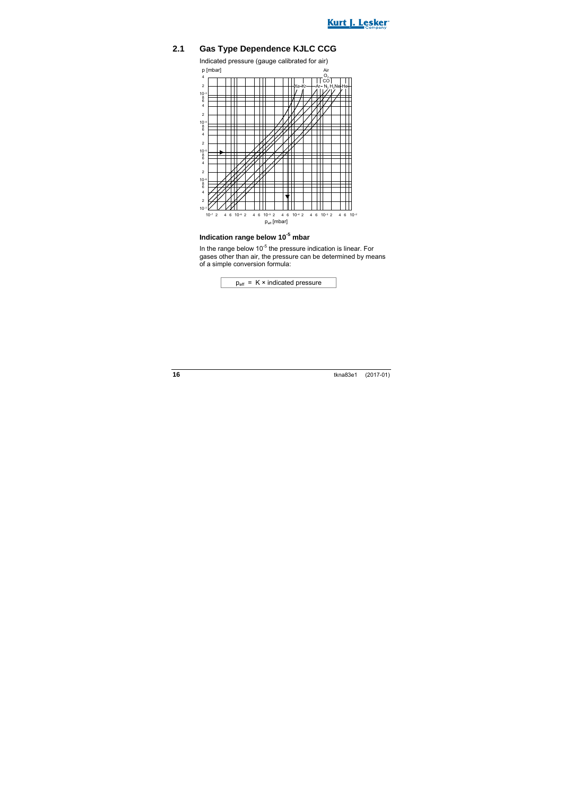

### **2.1 Gas Type Dependence KJLC CCG**



### **Indication range below 10-5 mbar**

In the range below  $10^{-5}$  the pressure indication is linear. For gases other than air, the pressure can be determined by means of a simple conversion formula:

$$
p_{\text{eff}} = K \times \text{indicated pressure}
$$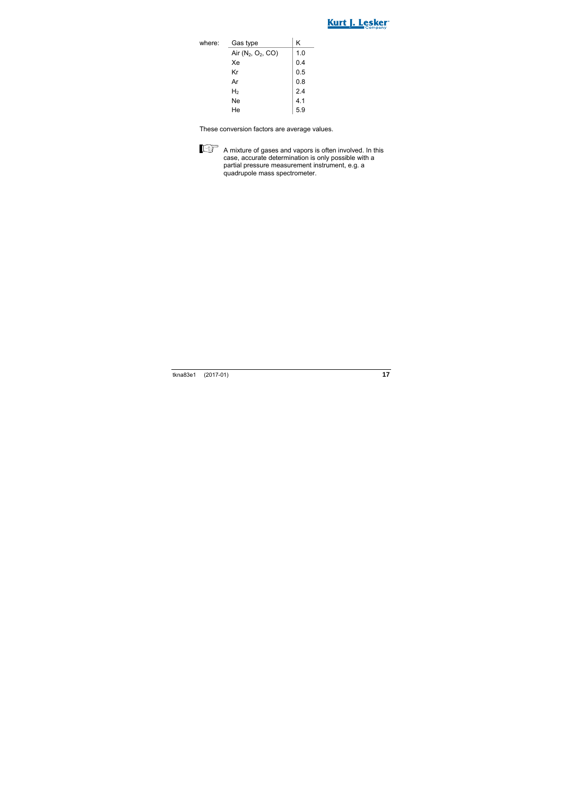

| where: | Gas type             | Κ   |
|--------|----------------------|-----|
|        | Air $(N_2, O_2, CO)$ | 1.0 |
|        | Xe                   | 0.4 |
|        | Kr                   | 0.5 |
|        | Ar                   | 0.8 |
|        | H,                   | 2.4 |
|        | Ne                   | 4.1 |
|        | He                   | 59  |

These conversion factors are average values.



A mixture of gases and vapors is often involved. In this case, accurate determination is only possible with a partial pressure measurement instrument, e.g. a quadrupole mass spectrometer.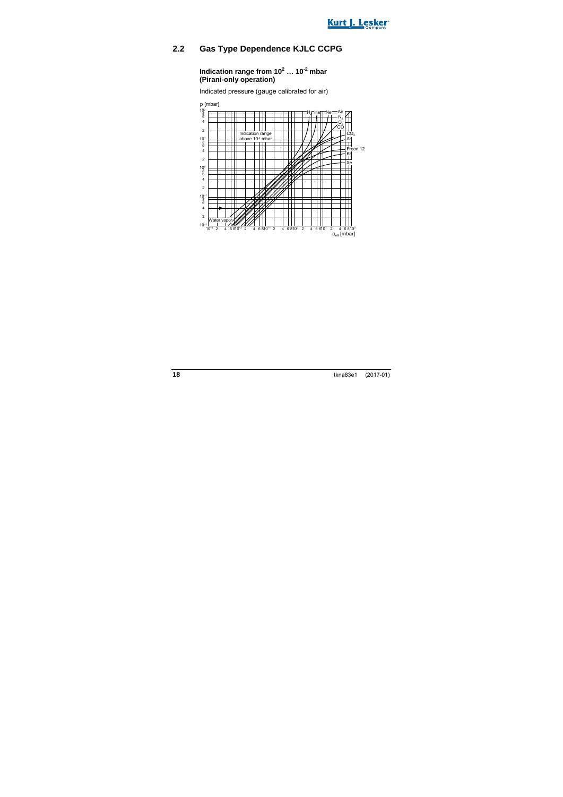

### **2.2 Gas Type Dependence KJLC CCPG**

**Indication range from 10<sup>2</sup> … 10-2 mbar (Pirani-only operation)** 

Indicated pressure (gauge calibrated for air)

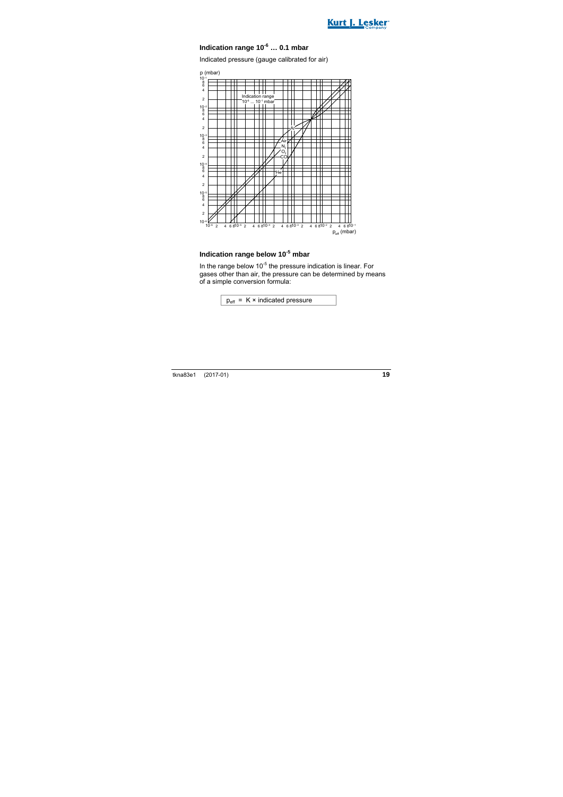

#### **Indication range 10-6 … 0.1 mbar**

Indicated pressure (gauge calibrated for air)



#### **Indication range below 10-5 mbar**

In the range below  $10^{-5}$  the pressure indication is linear. For gases other than air, the pressure can be determined by means of a simple conversion formula:

 $p_{\text{eff}}$  = K × indicated pressure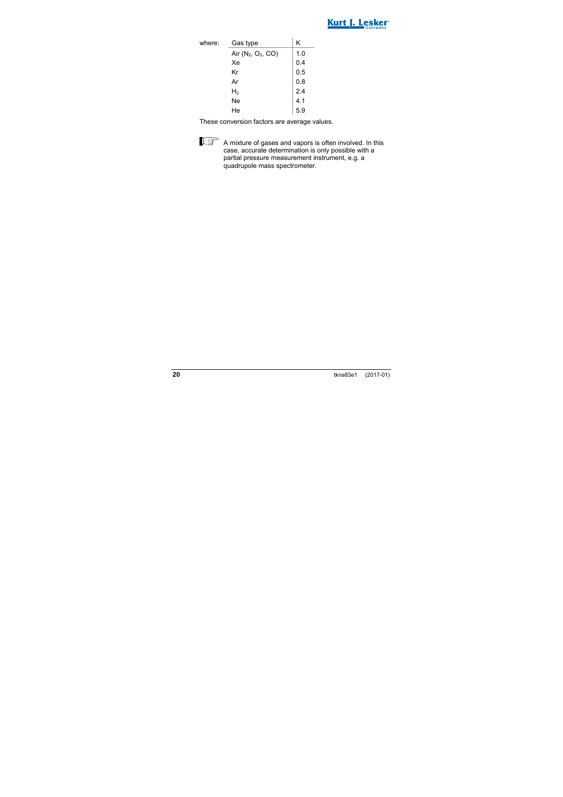

| where: | Gas type             | Κ   |
|--------|----------------------|-----|
|        | Air $(N_2, O_2, CO)$ | 1.0 |
|        | Xe                   | 0.4 |
|        | Kr                   | 0.5 |
|        | Ar                   | 0.8 |
|        | H <sub>2</sub>       | 2.4 |
|        | Ne                   | 4.1 |
|        | He                   | 5.9 |

These conversion factors are average values.



 A mixture of gases and vapors is often involved. In this case, accurate determination is only possible with a partial pressure measurement instrument, e.g. a quadrupole mass spectrometer.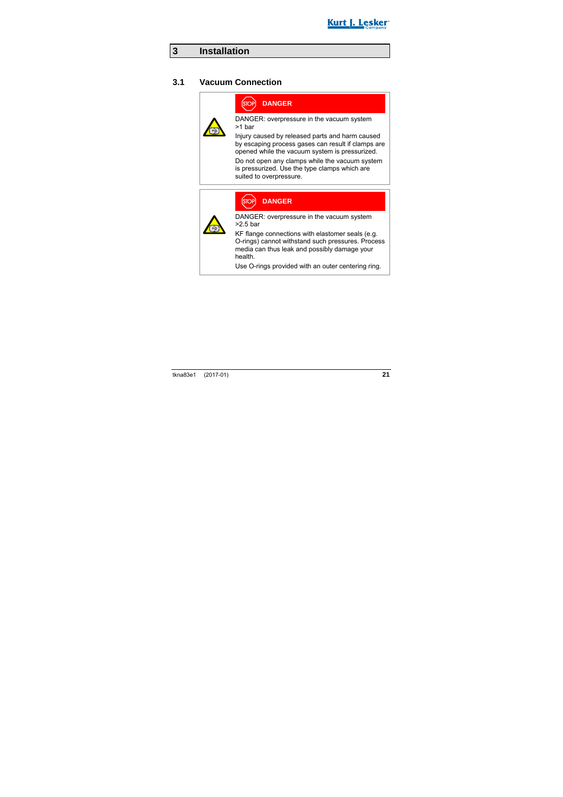

## **3 Installation**

#### **3.1 Vacuum Connection**



### **DANGER**

DANGER: overpressure in the vacuum system >1 bar

Injury caused by released parts and harm caused by escaping process gases can result if clamps are opened while the vacuum system is pressurized.

Do not open any clamps while the vacuum system is pressurized. Use the type clamps which are suited to overpressure.



**DANGER**

DANGER: overpressure in the vacuum system

KF flange connections with elastomer seals (e.g. O-rings) cannot withstand such pressures. Process media can thus leak and possibly damage your

Use O-rings provided with an outer centering ring.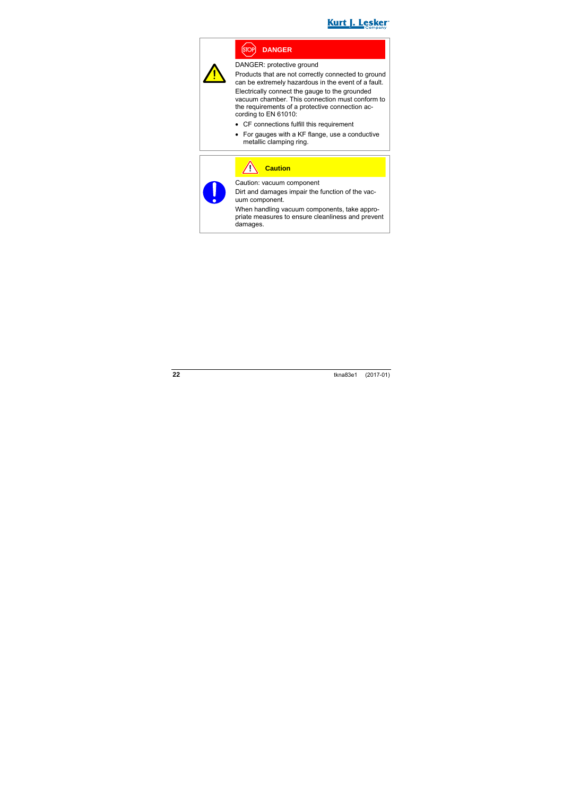



#### **DANGER** Ístoi

DANGER: protective ground

Products that are not correctly connected to ground can be extremely hazardous in the event of a fault.

Electrically connect the gauge to the grounded vacuum chamber. This connection must conform to the requirements of a protective connection according to EN 61010:

- CF connections fulfill this requirement
- For gauges with a KF flange, use a conductive metallic clamping ring.

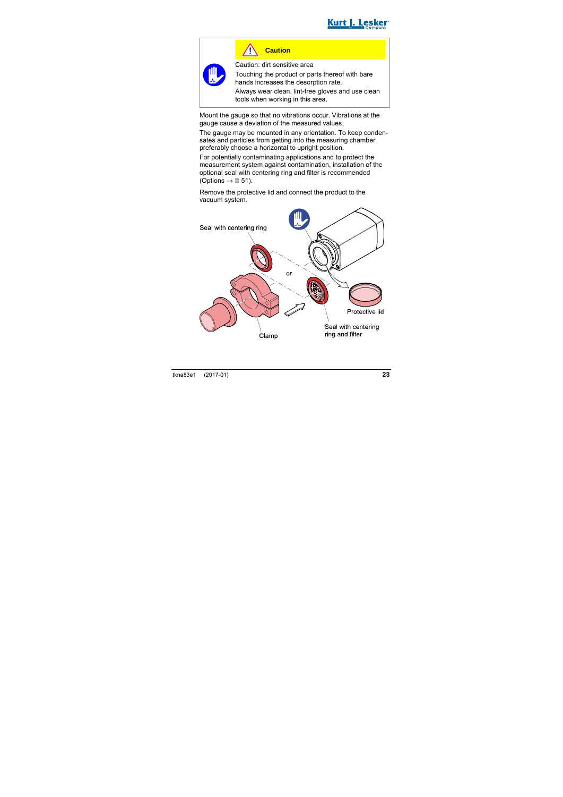

### **Caution**

Caution: dirt sensitive area

Touching the product or parts thereof with bare hands increases the desorption rate.

Always wear clean, lint-free gloves and use clean tools when working in this area.

Mount the gauge so that no vibrations occur. Vibrations at the gauge cause a deviation of the measured values.

The gauge may be mounted in any orientation. To keep condensates and particles from getting into the measuring chamber preferably choose a horizontal to upright position.

For potentially contaminating applications and to protect the measurement system against contamination, installation of the optional seal with centering ring and filter is recommended (Options  $\rightarrow \mathbb{B}$  51).

Remove the protective lid and connect the product to the vacuum system.

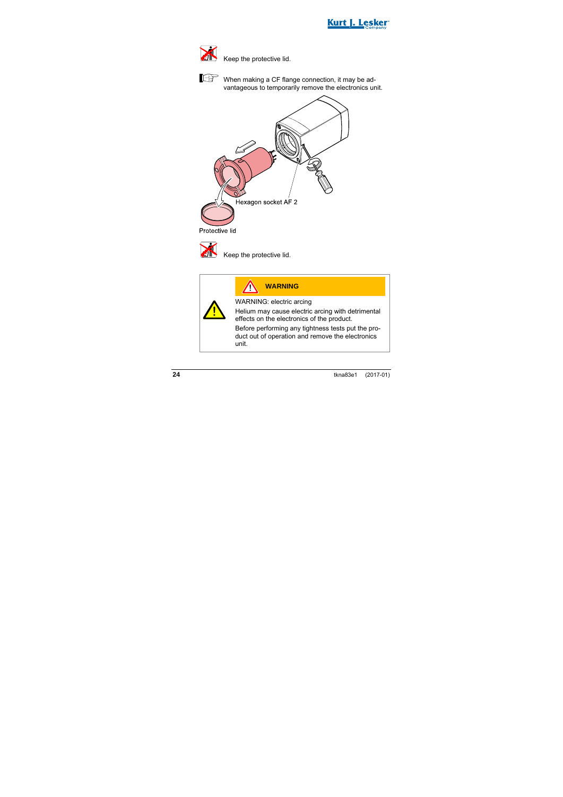



Keep the protective lid.



When making a CF flange connection, it may be advantageous to temporarily remove the electronics unit.





Keep the protective lid.

|                                                                                                 | <b>WARNING</b>                                                                                                 |  |  |  |
|-------------------------------------------------------------------------------------------------|----------------------------------------------------------------------------------------------------------------|--|--|--|
|                                                                                                 | WARNING: electric arcing                                                                                       |  |  |  |
| Helium may cause electric arcing with detrimental<br>effects on the electronics of the product. |                                                                                                                |  |  |  |
|                                                                                                 | Before performing any tightness tests put the pro-<br>duct out of operation and remove the electronics<br>unit |  |  |  |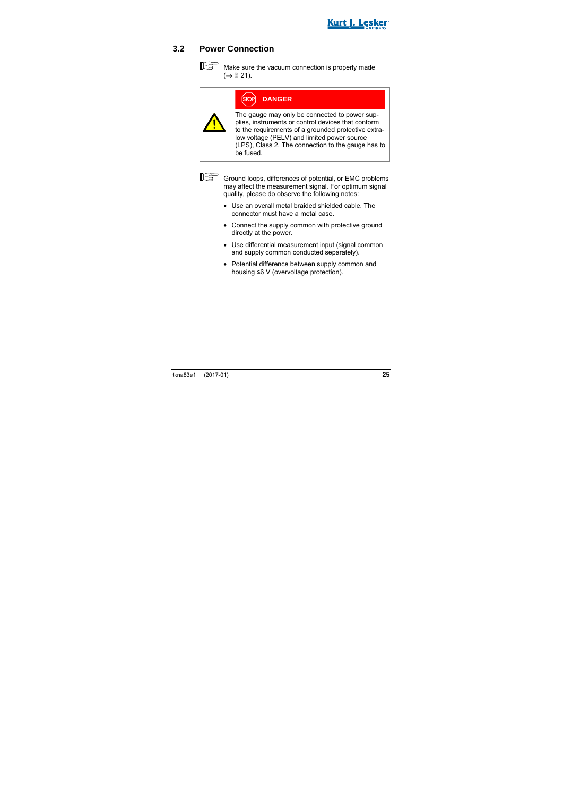

### **3.2 Power Connection**

 $\mathbb{R}^n$  Make sure the vacuum connection is properly made  $(\rightarrow \mathbb{B} 21)$ .

| OPÌ |  |  | <b>DANGER</b> |  |
|-----|--|--|---------------|--|
|     |  |  |               |  |
|     |  |  |               |  |

The gauge may only be connected to power supplies, instruments or control devices that conform to the requirements of a grounded protective extralow voltage (PELV) and limited power source (LPS), Class 2. The connection to the gauge has to be fused.



Ground loops, differences of potential, or EMC problems may affect the measurement signal. For optimum signal quality, please do observe the following notes:

- Use an overall metal braided shielded cable. The connector must have a metal case.
- Connect the supply common with protective ground directly at the power.
- Use differential measurement input (signal common and supply common conducted separately).
- Potential difference between supply common and housing ≤6 V (overvoltage protection).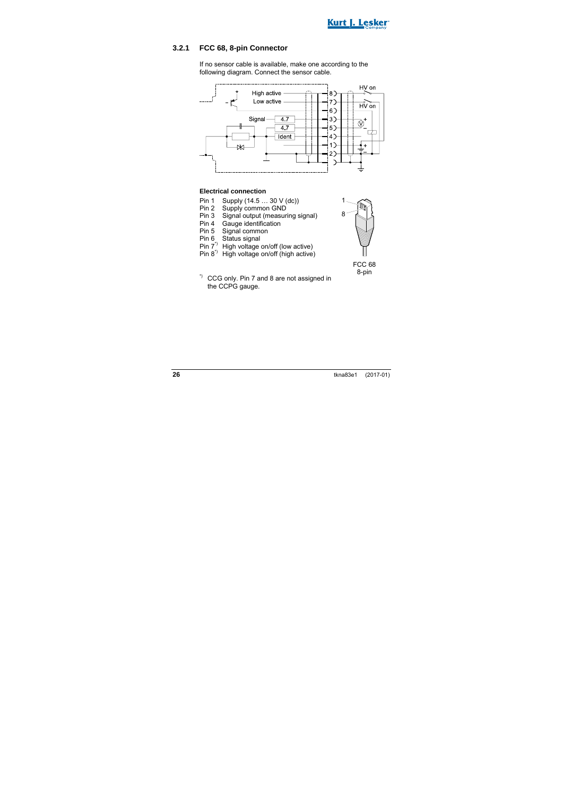

#### **3.2.1 FCC 68, 8-pin Connector**

If no sensor cable is available, make one according to the following diagram. Connect the sensor cable.



#### **Electrical connection**

- Pin 1 Supply (14.5 ... 30 V (dc))<br>Pin 2 Supply common GND
- Supply common GND
- Pin 3 Signal output (measuring signal)<br>Pin 4 Gauge identification
- Pin 4 Gauge identification<br>Pin 5 Signal common
- Pin 5 Signal common<br>Pin 6 Status signal
- Status signal
- Pin 7\*) High voltage on/off (low active)
- Pin 8\*) High voltage on/off (high active)



FCC 68 8-pin

\*) CCG only. Pin 7 and 8 are not assigned in the CCPG gauge.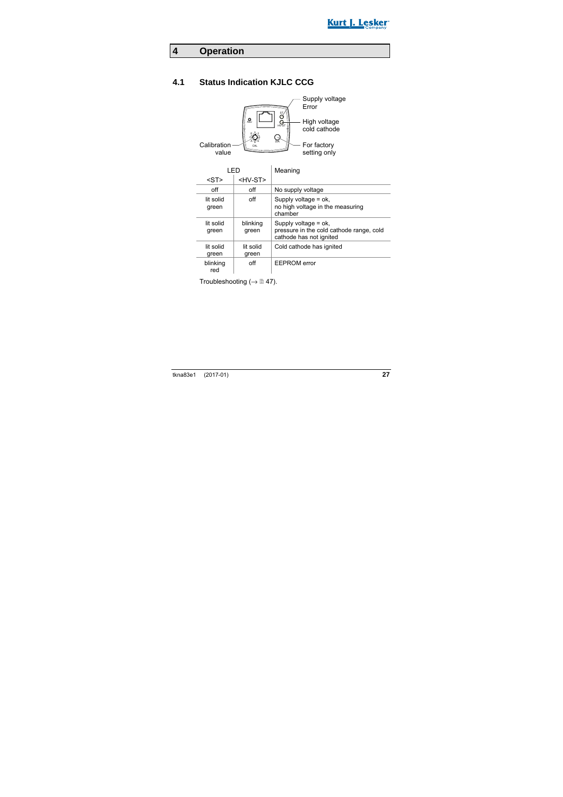

## **4 Operation**

## **4.1 Status Indication KJLC CCG**



| LED                |                    | Meaning                                                                                       |
|--------------------|--------------------|-----------------------------------------------------------------------------------------------|
| $<$ ST $>$         | <hv-st></hv-st>    |                                                                                               |
| off                | off                | No supply voltage                                                                             |
| lit solid<br>green | off                | Supply voltage = ok,<br>no high voltage in the measuring<br>chamber                           |
| lit solid<br>green | blinking<br>green  | Supply voltage $=$ ok,<br>pressure in the cold cathode range, cold<br>cathode has not ignited |
| lit solid<br>green | lit solid<br>green | Cold cathode has ignited                                                                      |
| blinking<br>red    | off                | <b>EEPROM</b> error                                                                           |

Troubleshooting ( $\rightarrow \mathbb{B}$  47).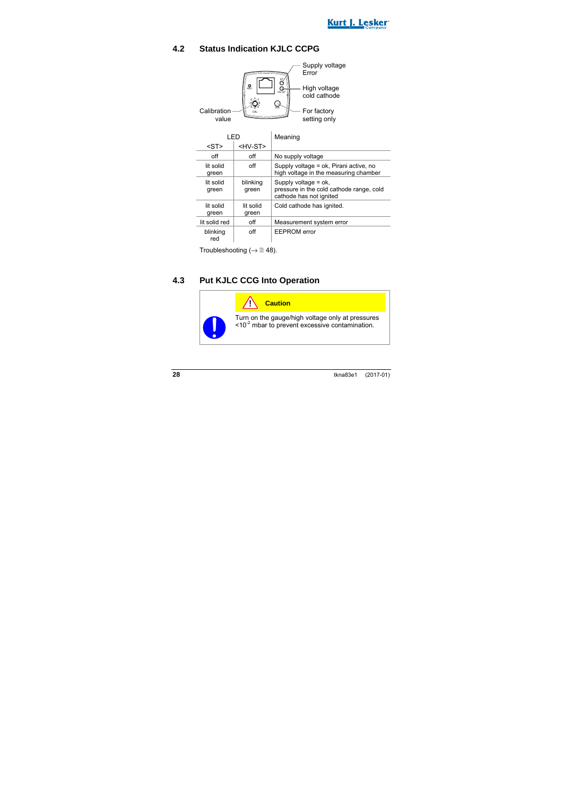

### **4.2 Status Indication KJLC CCPG**



Troubleshooting ( $\rightarrow \mathbb{B}$  48).

### **4.3 Put KJLC CCG Into Operation**

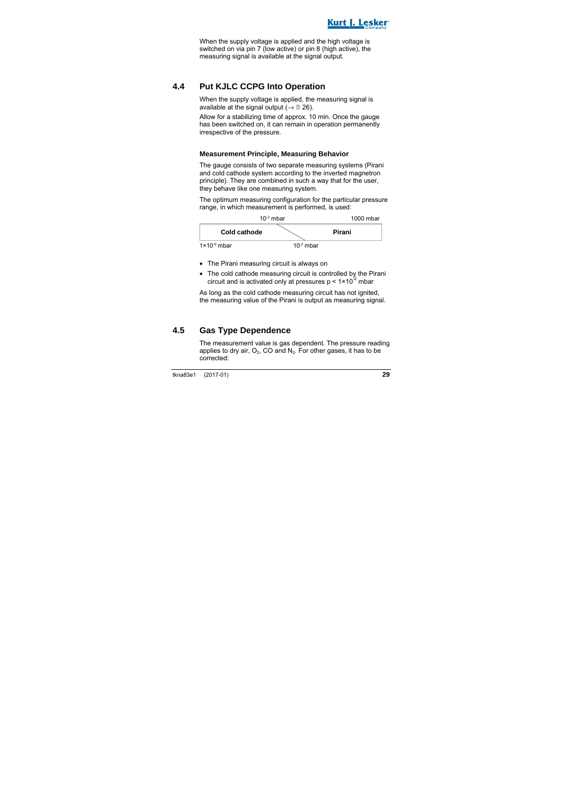

When the supply voltage is applied and the high voltage is switched on via pin 7 (low active) or pin 8 (high active), the measuring signal is available at the signal output.

#### **4.4 Put KJLC CCPG Into Operation**

When the supply voltage is applied, the measuring signal is available at the signal output ( $\rightarrow \cong 26$ ).

Allow for a stabilizing time of approx. 10 min. Once the gauge has been switched on, it can remain in operation permanently irrespective of the pressure.

#### **Measurement Principle, Measuring Behavior**

The gauge consists of two separate measuring systems (Pirani and cold cathode system according to the inverted magnetron principle). They are combined in such a way that for the user, they behave like one measuring system.

The optimum measuring configuration for the particular pressure range, in which measurement is performed, is used:



- The Pirani measuring circuit is always on
- The cold cathode measuring circuit is controlled by the Pirani circuit and is activated only at pressures  $p < 1 \times 10^{32}$  mbar

As long as the cold cathode measuring circuit has not ignited. the measuring value of the Pirani is output as measuring signal.

#### **4.5 Gas Type Dependence**

The measurement value is gas dependent. The pressure reading applies to dry air,  $O_2$ , CO and  $N_2$ . For other gases, it has to be corrected: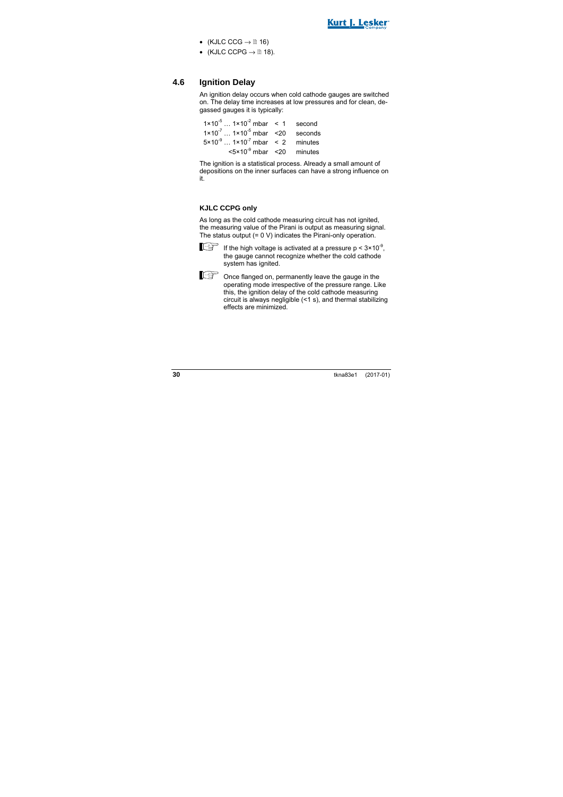

- (KJLC CCG  $\rightarrow \mathbb{R}$  16)
- (KJLC CCPG  $\rightarrow \mathbb{R}$  18).

### **4.6 Ignition Delay**

An ignition delay occurs when cold cathode gauges are switched on. The delay time increases at low pressures and for clean, degassed gauges it is typically:

 $1 \times 10^{-5}$  ...  $1 \times 10^{-2}$  mbar < 1 second  $1 \times 10^{-7}$  ...  $1 \times 10^{-5}$  mbar < 20 seconds  $5 \times 10^{-9}$  ...  $1 \times 10^{-7}$  mbar < 2 minutes  $5 \times 10^{-9}$  mbar  $\leq 20$  minutes

The ignition is a statistical process. Already a small amount of depositions on the inner surfaces can have a strong influence on it.

#### **KJLC CCPG only**

As long as the cold cathode measuring circuit has not ignited, the measuring value of the Pirani is output as measuring signal. The status output (= 0 V) indicates the Pirani-only operation.



If the high voltage is activated at a pressure  $p < 3 \times 10^{-9}$ , the gauge cannot recognize whether the cold cathode system has ignited.

 $\Box$  $\Box$  $\Box$  Once flanged on, permanently leave the gauge in the operating mode irrespective of the pressure range. Like this, the ignition delay of the cold cathode measuring circuit is always negligible (<1 s), and thermal stabilizing effects are minimized.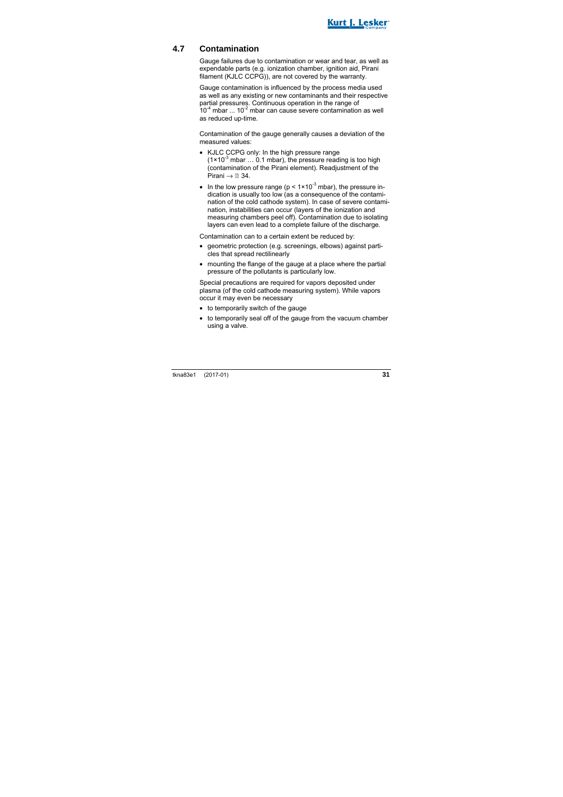

### **4.7 Contamination**

Gauge failures due to contamination or wear and tear, as well as expendable parts (e.g. ionization chamber, ignition aid, Pirani filament (KJLC CCPG)), are not covered by the warranty.

Gauge contamination is influenced by the process media used as well as any existing or new contaminants and their respective partial pressures. Continuous operation in the range of  $10^{-4}$  mbar  $\ldots$  10<sup>-2</sup> mbar can cause severe contamination as well as reduced up-time.

Contamination of the gauge generally causes a deviation of the measured values:

- KJLC CCPG only: In the high pressure range  $(1 \times 10^{-3}$  mbar  $\dots$  0.1 mbar), the pressure reading is too high (contamination of the Pirani element). Readjustment of the Pirani  $\rightarrow \mathbb{R}$  34.
- In the low pressure range ( $p < 1 \times 10^{-3}$  mbar), the pressure indication is usually too low (as a consequence of the contamination of the cold cathode system). In case of severe contamination, instabilities can occur (layers of the ionization and measuring chambers peel off). Contamination due to isolating layers can even lead to a complete failure of the discharge.

Contamination can to a certain extent be reduced by:

- geometric protection (e.g. screenings, elbows) against particles that spread rectilinearly
- mounting the flange of the gauge at a place where the partial pressure of the pollutants is particularly low.

Special precautions are required for vapors deposited under plasma (of the cold cathode measuring system). While vapors occur it may even be necessary

- to temporarily switch of the gauge
- to temporarily seal off of the gauge from the vacuum chamber using a valve.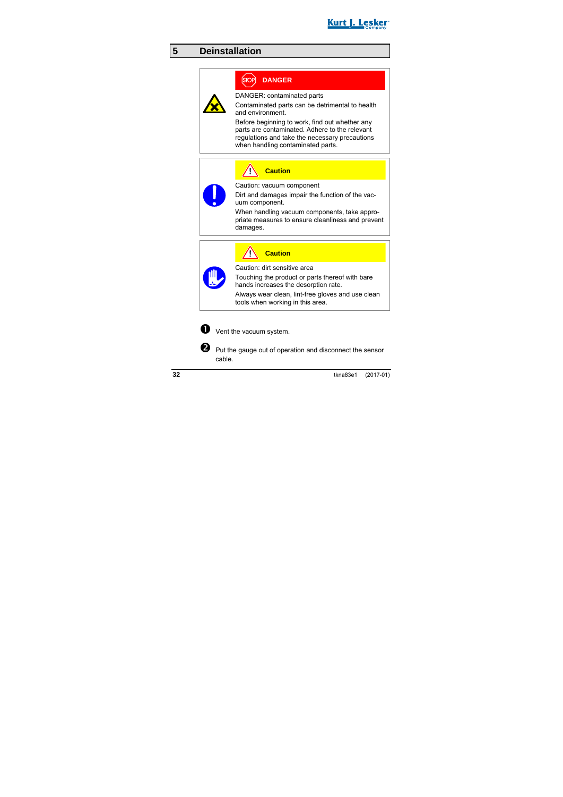

## **5 Deinstallation**

## **DANGER**

DANGER: contaminated parts

Contaminated parts can be detrimental to health and environment.

Before beginning to work, find out whether any parts are contaminated. Adhere to the relevant regulations and take the necessary precautions when handling contaminated parts.

**Caution**

Caution: vacuum component

Dirt and damages impair the function of the vacuum component.

When handling vacuum components, take appropriate measures to ensure cleanliness and prevent damages.

**Caution**

Caution: dirt sensitive area

Touching the product or parts thereof with bare hands increases the desorption rate.

Always wear clean, lint-free gloves and use clean tools when working in this area.



 $\bullet$  Vent the vacuum system.

 $\bullet$  Put the gauge out of operation and disconnect the sensor cable.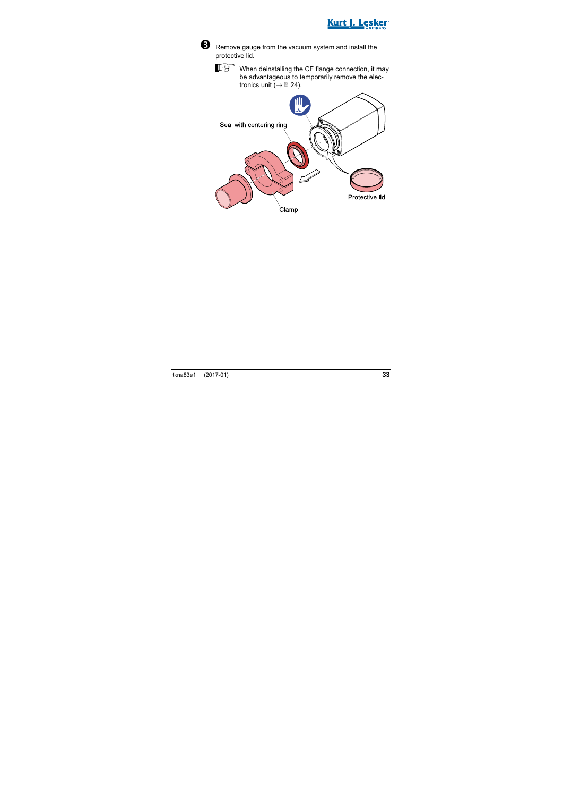



Remove gauge from the vacuum system and install the protective lid.

When deinstalling the CF flange connection, it may be advantageous to temporarily remove the electronics unit  $\check{(-)} \triangleq 24$ ).

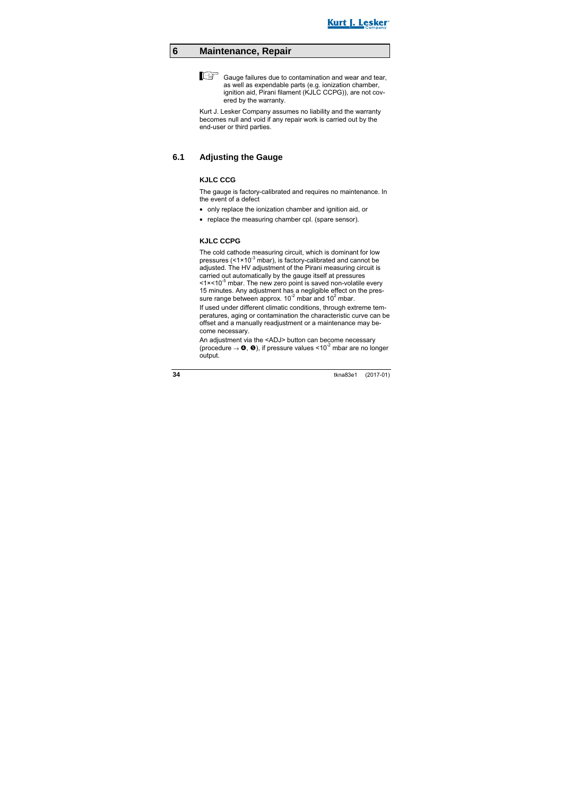

## **6 Maintenance, Repair**

 $F^*$  Gauge failures due to contamination and wear and tear, as well as expendable parts (e.g. ionization chamber, ignition aid, Pirani filament (KJLC CCPG)), are not covered by the warranty.

Kurt J. Lesker Company assumes no liability and the warranty becomes null and void if any repair work is carried out by the end-user or third parties.

#### **6.1 Adjusting the Gauge**

#### **KJLC CCG**

The gauge is factory-calibrated and requires no maintenance. In the event of a defect

- only replace the ionization chamber and ignition aid, or
- replace the measuring chamber cpl. (spare sensor).

#### **KJLC CCPG**

The cold cathode measuring circuit, which is dominant for low pressures  $(<1 \times 10^{-3}$  mbar), is factory-calibrated and cannot be adjusted. The HV adjustment of the Pirani measuring circuit is carried out automatically by the gauge itself at pressures  $\leq 1 \times 10^{-5}$  mbar. The new zero point is saved non-volatile every 15 minutes. Any adjustment has a negligible effect on the pressure range between approx.  $10^{-2}$  mbar and  $10^{2}$  mbar.

If used under different climatic conditions, through extreme temperatures, aging or contamination the characteristic curve can be offset and a manually readjustment or a maintenance may become necessary.

An adjustment via the <ADJ> button can become necessary (procedure  $\rightarrow$  0, 0), if pressure values <10<sup>-2</sup> mbar are no longer output.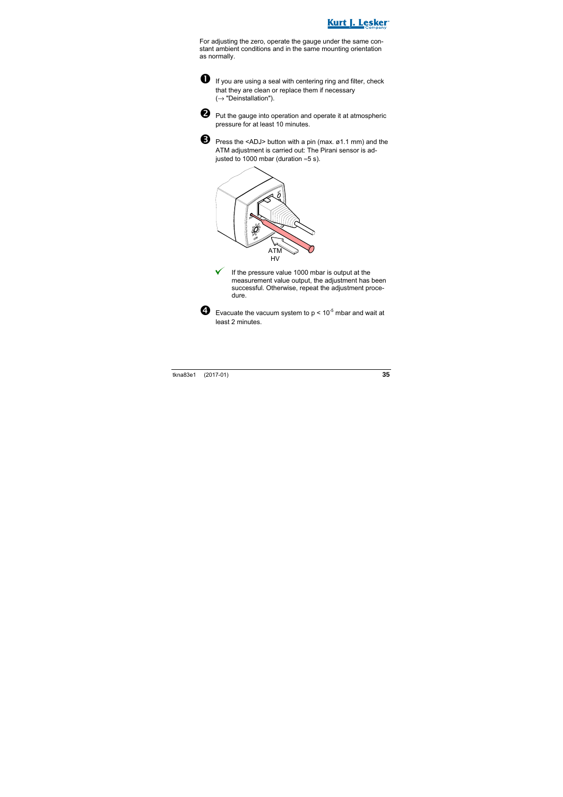

For adjusting the zero, operate the gauge under the same constant ambient conditions and in the same mounting orientation as normally.



 $\bullet$  If vou are using a seal with centering ring and filter, check that they are clean or replace them if necessary  $(\rightarrow$  "Deinstallation").



 $\bullet$  Put the gauge into operation and operate it at atmospheric pressure for at least 10 minutes.



Press the <ADJ> button with a pin (max. ø1.1 mm) and the ATM adjustment is carried out: The Pirani sensor is adiusted to 1000 mbar (duration  $≈5 s$ ).



 If the pressure value 1000 mbar is output at the measurement value output, the adjustment has been successful. Otherwise, repeat the adjustment procedure.



 $\bullet$  Evacuate the vacuum system to  $p < 10^{-5}$  mbar and wait at least 2 minutes.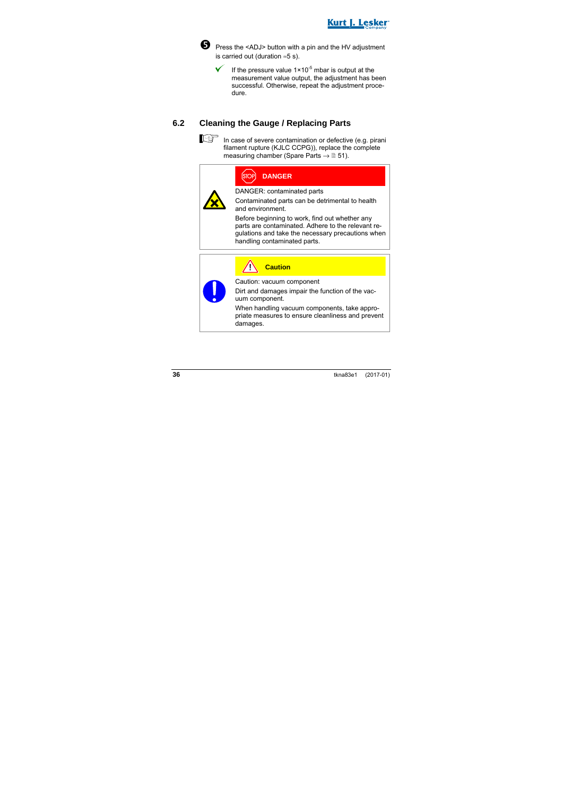



**O** Press the <ADJ> button with a pin and the HV adjustment is carried out (duration ≈5 s).

> If the pressure value  $1 \times 10^{-5}$  mbar is output at the measurement value output, the adjustment has been successful. Otherwise, repeat the adjustment procedure.

### **6.2 Cleaning the Gauge / Replacing Parts**



 $\mathbb{R}^+$  In case of severe contamination or defective (e.g. pirani filament rupture (KJLC CCPG)), replace the complete measuring chamber (Spare Parts  $\rightarrow \mathbb{B}$  51).

## **DANGER**

DANGER: contaminated parts

Contaminated parts can be detrimental to health and environment.

Before beginning to work, find out whether any parts are contaminated. Adhere to the relevant regulations and take the necessary precautions when handling contaminated parts.



**Caution**

Caution: vacuum component

Dirt and damages impair the function of the vacuum component.

When handling vacuum components, take appropriate measures to ensure cleanliness and prevent damages.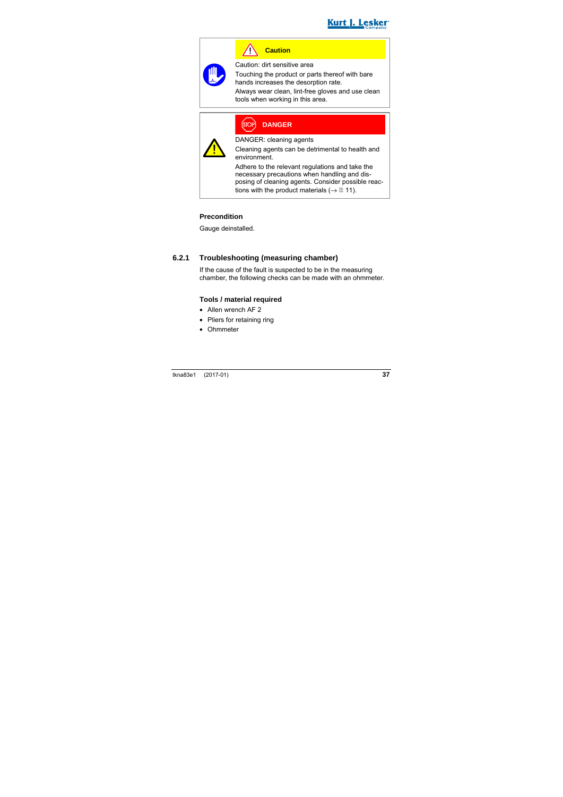

**Caution**

Caution: dirt sensitive area

Touching the product or parts thereof with bare hands increases the desorption rate.

Always wear clean, lint-free gloves and use clean tools when working in this area.



### **DANGER**

DANGER: cleaning agents

Cleaning agents can be detrimental to health and environment.

Adhere to the relevant regulations and take the necessary precautions when handling and disposing of cleaning agents. Consider possible reactions with the product materials ( $\rightarrow \mathbb{B}$  11).

#### **Precondition**

Gauge deinstalled.

#### **6.2.1 Troubleshooting (measuring chamber)**

If the cause of the fault is suspected to be in the measuring chamber, the following checks can be made with an ohmmeter.

#### **Tools / material required**

- Allen wrench AF 2
- Pliers for retaining ring
- Ohmmeter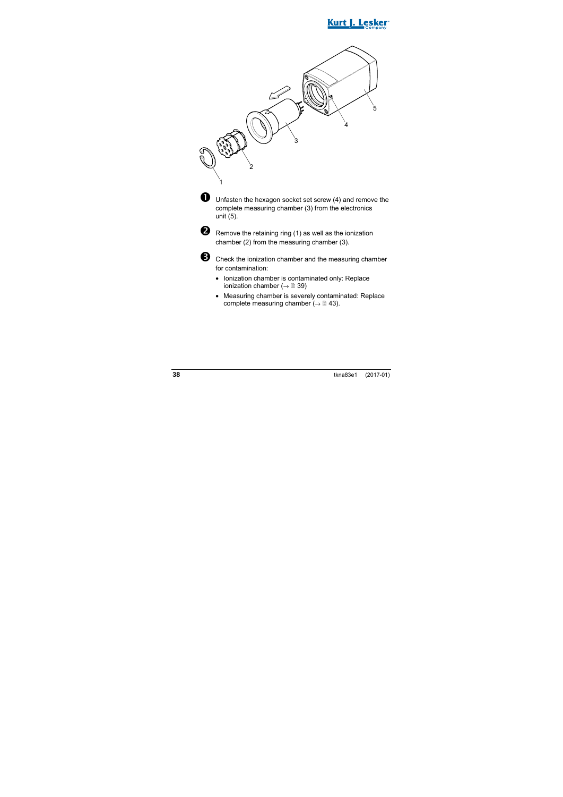



 $\blacksquare$  Unfasten the hexagon socket set screw (4) and remove the complete measuring chamber (3) from the electronics unit (5).



**2** Remove the retaining ring (1) as well as the ionization chamber (2) from the measuring chamber (3).



 Check the ionization chamber and the measuring chamber for contamination:

- Ionization chamber is contaminated only: Replace ionization chamber ( $\rightarrow \mathbb{B}$  39)
- Measuring chamber is severely contaminated: Replace complete measuring chamber ( $\rightarrow \mathbb{B}$  43).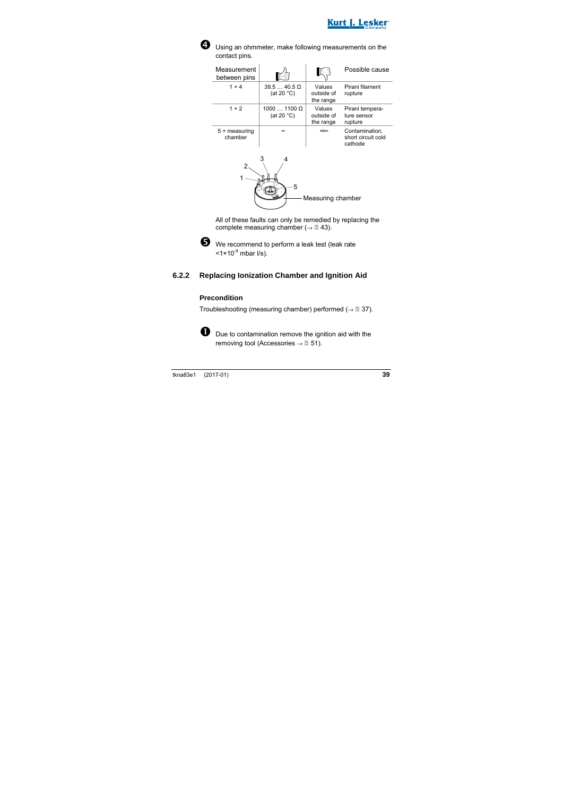



Using an ohmmeter, make following measurements on the contact pins.

| Measurement<br>between pins |                                    |                                   | Possible cause                                  |
|-----------------------------|------------------------------------|-----------------------------------|-------------------------------------------------|
| $1 + 4$                     | $39.540.5$ Q<br>(at 20 $°C$ )      | Values<br>outside of<br>the range | Pirani filament<br>rupture                      |
| $1 + 2$                     | $10001100 \Omega$<br>(at 20 $°C$ ) | Values<br>outside of<br>the range | Pirani tempera-<br>ture sensor<br>rupture       |
| $5 +$ measuring<br>chamber  | $\infty$                           | $<\infty$                         | Contamination.<br>short circuit cold<br>cathode |



All of these faults can only be remedied by replacing the complete measuring chamber ( $\rightarrow \mathbb{B}$  43).



We recommend to perform a leak test (leak rate  $<$ 1×10 $<sup>9</sup>$  mbar  $l/s$ ).</sup>

#### **6.2.2 Replacing Ionization Chamber and Ignition Aid**

#### **Precondition**

Troubleshooting (measuring chamber) performed ( $\rightarrow \mathbb{B}$  37).



D Due to contamination remove the ignition aid with the removing tool (Accessories  $\rightarrow \mathbb{B}$  51).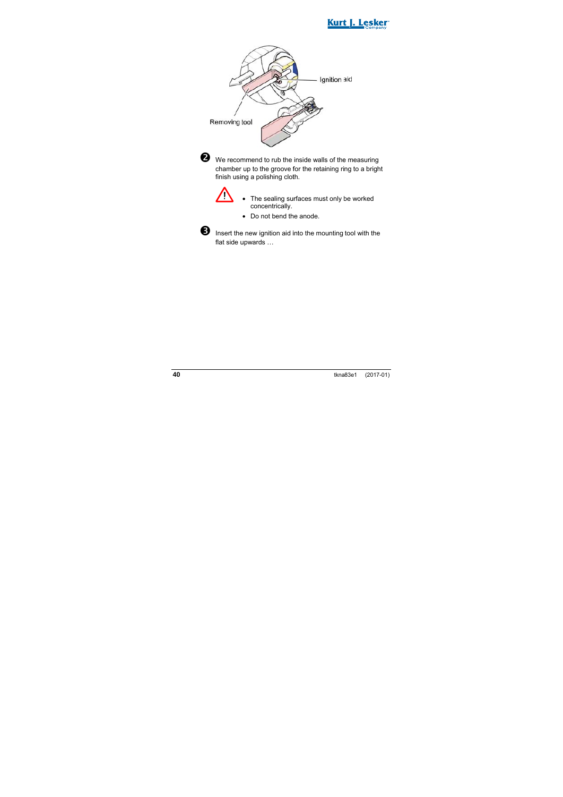





 $\bullet$  We recommend to rub the inside walls of the measuring chamber up to the groove for the retaining ring to a bright finish using a polishing cloth.



- The sealing surfaces must only be worked concentrically.
- Do not bend the anode.



**6** Insert the new ignition aid into the mounting tool with the flat side upwards ...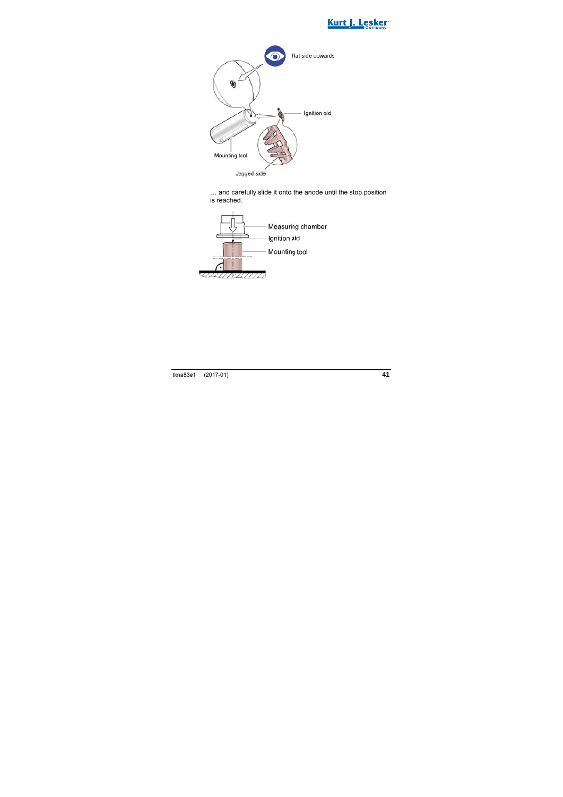



… and care fully slide it onto the anode until th e stop position is reached.

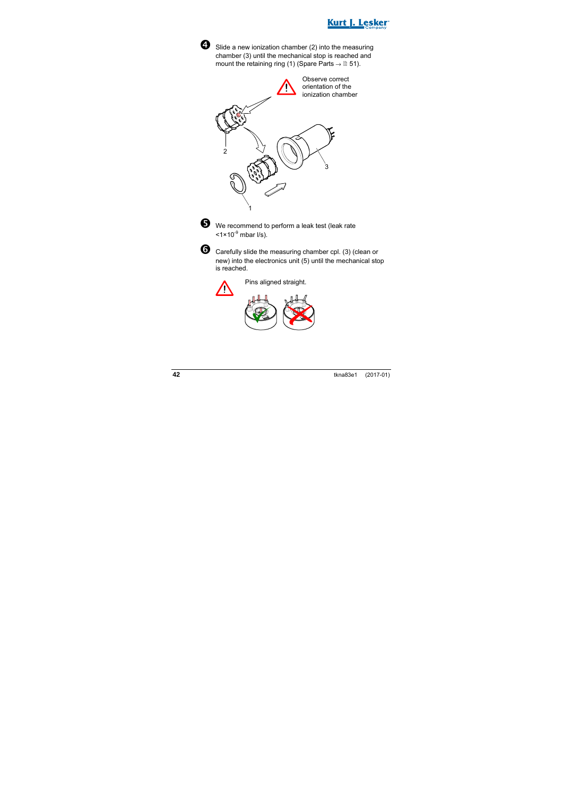



Slide a new ionization chamber (2) into the measuring chamber (3) until the mechanical stop is reached and mount the retaining ring (1) (Spare Parts  $\rightarrow \mathbb{B}$  51).





We recommend to perform a leak test (leak rate  $<$ 1×10<sup>-9</sup> mbar  $\sqrt{s}$ ).



 Carefully slide the measuring chamber cpl. (3) (clean or new) into the electronics unit (5) until the mechanical stop is reached.



Pins aligned straight.

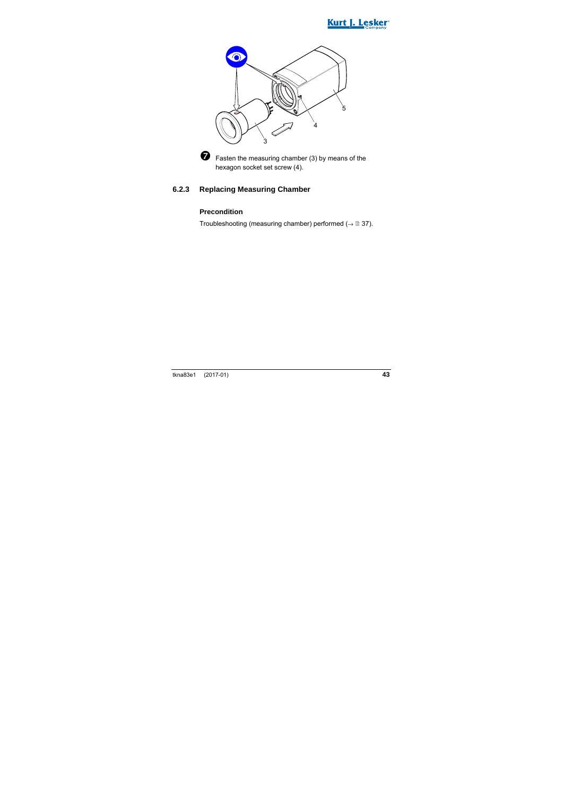





 $\bullet$  Fasten the measuring chamber (3) by means of the hexagon socket set screw (4).

#### **6.2.3 Replacing Measuring Chamber**

#### **Precondition**

Troubleshooting (measuring chamber) performed ( $\rightarrow \mathbb{B}$  37).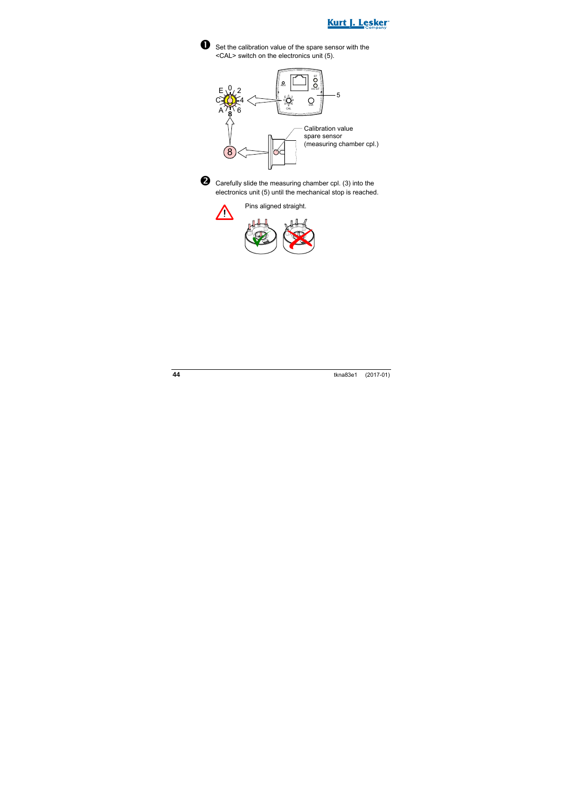







**Q** Carefully slide the measuring chamber cpl. (3) into the electronics unit (5) until the mechanical stop is reached.



Pins aligned straight.

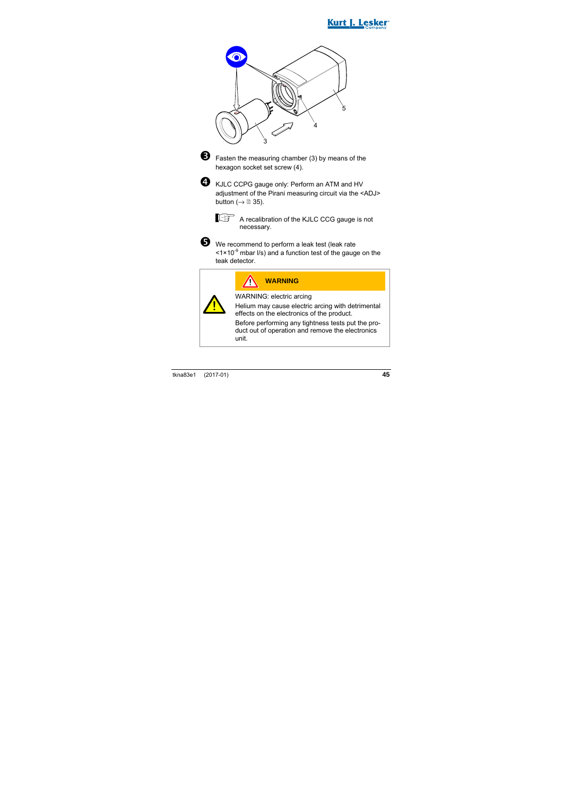





**E** Fasten the measuring chamber (3) by means of the hexagon socket set screw (4).



**4** KJLC CCPG gauge only: Perform an ATM and HV adjustment of the Pirani measuring circuit via the <ADJ> button ( $\rightarrow \cong$  35).



A recalibration of the KJLC CCG gauge is not necessary.



We recommend to perform a leak test (leak rate  $\leq 1 \times 10^{-9}$  mbar I/s) and a function test of the gauge on the teak detector.

| <b>WARNING</b>                                                                                                 |
|----------------------------------------------------------------------------------------------------------------|
| WARNING: electric arcing                                                                                       |
| Helium may cause electric arcing with detrimental<br>effects on the electronics of the product.                |
| Before performing any tightness tests put the pro-<br>duct out of operation and remove the electronics<br>unit |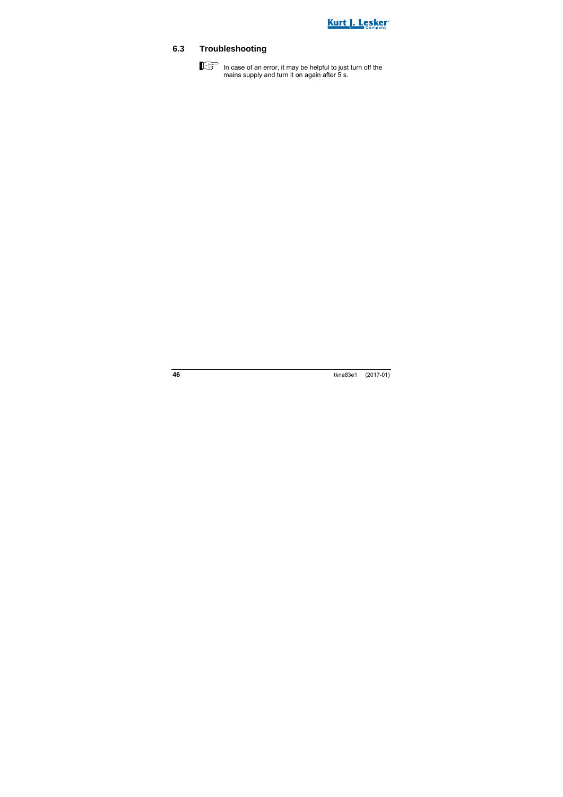

### **6.3 Troubleshooting**

In case of an error, it may be helpful to just turn off the mains supply and turn it on again after 5 s.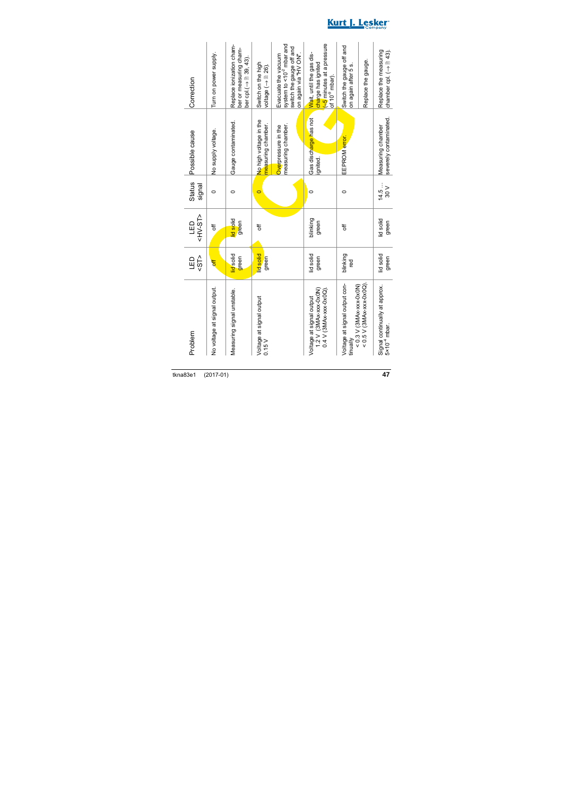| Problem                                                                          | 55<br>$\Xi$        | <hv-st><br/><b>GED</b></hv-st> | Status<br>signal                | Possible cause                               | Correction                                                                                                       |
|----------------------------------------------------------------------------------|--------------------|--------------------------------|---------------------------------|----------------------------------------------|------------------------------------------------------------------------------------------------------------------|
| No voltage at signal output.                                                     | <mark>əff</mark>   | tf                             | $\circ$                         | No supply voltage.                           | Furn on power supply.                                                                                            |
| Measuring signal unstable.                                                       | id solid<br>green  | id solid<br>green              | $\circ$                         | Gauge contaminated.                          | Replace ionization cham-<br>ber or measuring cham-<br>ber cpl $\rightarrow$ 89, 43).                             |
| Voltage at signal output<br>0.15V                                                | id solid<br>green  | 5f                             | d                               | No high voltage in the<br>measuring chamber. | Switch on the high<br>voltage $(\rightarrow \mathbb{B} 26)$ .                                                    |
|                                                                                  |                    |                                |                                 | measuring chamber.<br>Overpressure in the    | system to <10 <sup>-2</sup> mbar and<br>switch the gauge off and<br>Evacuate the vacuum<br>on again via "HV ON". |
| $1.2$ V $(3MA-xxx-0x0N)$<br>$0.4$ V (3MAx-xxx-0x0Q).<br>Voltage at signal output | id solid<br>green  | blinking<br>green              | 0                               | Gas discharge has not<br>gnited              | sures at a pressure<br>Wait, until the gas dis-<br>charge has ignited<br>of 10 <sup>-9</sup> mbar).              |
| Voltage at signal output con-<br>$< 0.3$ V (3MAx-xxx-0x0N)<br>tinually           | blinking<br>ēg     | t                              | $\circ$                         | EEPROM error.                                | Switch the gauge off and<br>on again after 5 s.                                                                  |
| $< 0.5$ V (3MAx-xxx-0x0Q)                                                        |                    |                                |                                 |                                              | Replace the gauge.                                                                                               |
| Signal continually at approx.<br>$5 \times 10^{-4}$ mbar.                        | lid solid<br>green | lid solid<br>green             | : 4.5<br>14.5<br>$\frac{8}{20}$ | severely contaminated.<br>Measuring chamber  | Replace the measuring<br>chamber cpl. $\overline{(-)}$ and 43)                                                   |

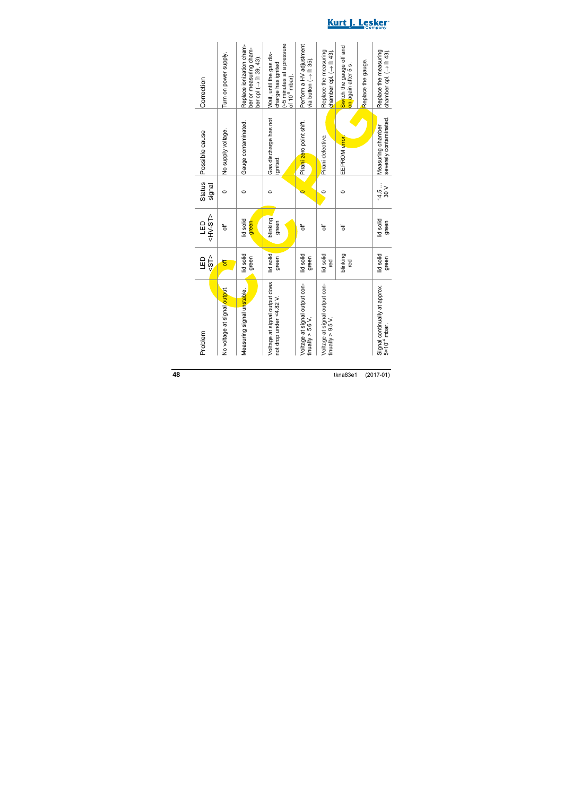| Problem                                                   | 55<br>$\Xi$        | <hv-st><br/>GED</hv-st> | <b>Status</b><br>signal | Possible cause                              | Correction                                                                                               |
|-----------------------------------------------------------|--------------------|-------------------------|-------------------------|---------------------------------------------|----------------------------------------------------------------------------------------------------------|
| No voltage at signal output.                              | 븅                  | 5f                      | $\circ$                 | No supply voltage.                          | Turn on power supply.                                                                                    |
| Measuring signal unstable.                                | lid solid<br>green | lid solid<br>green      | $\circ$                 | Gauge contaminated.                         | Replace ionization cham-<br>ber or measuring cham-<br>ber cpl $\left(\rightarrow 39, 43\right)$ .        |
| Voltage at signal output does<br>not drop under <4.82 V.  | lid solid<br>green | blinking<br>green       | $\circ$                 | Gas discharge has not<br>ignited.           | es minutes at a pressure<br>Wait, until the gas dis-<br>charge has ignited<br>of 10 <sup>-9</sup> mbar). |
| Voltage at signal output con-<br>tinually $>$ 5.6 V.      | lid solid<br>green | 5f                      |                         | Pirani zero point shift.                    | Perform a HV adjustment<br>via button ( $\rightarrow$ 85).                                               |
| Voltage at signal output con-<br>tinually > $9.5$ V.      | lid solid<br>g     | t                       | $\circ$                 | Pirani defective.                           | Replace the measuring<br>chamber cpl. $\rightarrow$ $\cong$ 43).                                         |
|                                                           | blinking<br>red    | t                       | $\circ$                 | EEPROM error.                               | Switch the gauge off and<br>on again after 5 s.                                                          |
|                                                           |                    |                         |                         |                                             | Replace the gauge.                                                                                       |
| Signal continually at approx.<br>5×10 <sup>-4</sup> mbar. | lid solid<br>green | lid solid<br>green      | 14.5<br>$\frac{8}{20}$  | severely contaminated.<br>Measuring chamber | Replace the measuring<br>chamber cpl. $\rightarrow$ $\cong$ 43).                                         |

Kurt J. Lesker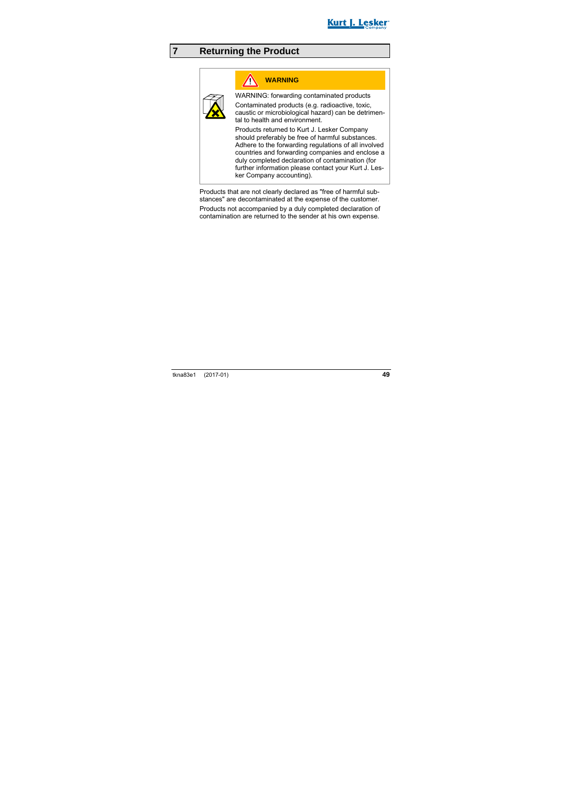

## **7 Returning the Product**

## **WARNING**

WARNING: forwarding contaminated products Contaminated products (e.g. radioactive, toxic, caustic or microbiological hazard) can be detrimental to health and environment.

Products returned to Kurt J. Lesker Company should preferably be free of harmful substances. Adhere to the forwarding regulations of all involved countries and forwarding companies and enclose a duly completed declaration of contamination (for further information please contact your Kurt J. Lesker Company accounting).

Products that are not clearly declared as "free of harmful substances" are decontaminated at the expense of the customer.

Products not accompanied by a duly completed declaration of contamination are returned to the sender at his own expense.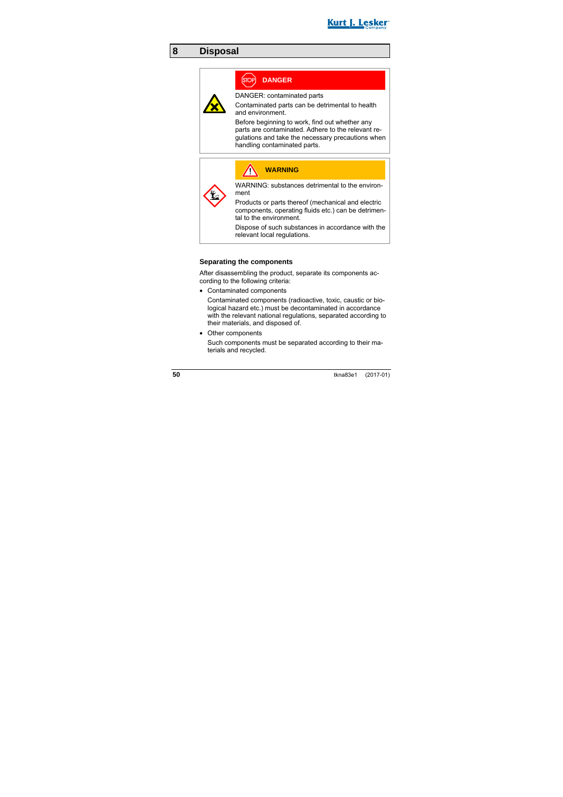

### **8 Disposal**

## **DANGER**

DANGER: contaminated parts

Contaminated parts can be detrimental to health and environment.

Before beginning to work, find out whether any parts are contaminated. Adhere to the relevant regulations and take the necessary precautions when handling contaminated parts.

| <b>WARNING</b>                                                                                                                       |
|--------------------------------------------------------------------------------------------------------------------------------------|
| WARNING: substances detrimental to the environ-<br>ment                                                                              |
| Products or parts thereof (mechanical and electric<br>components, operating fluids etc.) can be detrimen-<br>tal to the environment. |
| Dispose of such substances in accordance with the<br>relevant local regulations.                                                     |

#### **Separating the components**

After disassembling the product, separate its components according to the following criteria:

• Contaminated components

Contaminated components (radioactive, toxic, caustic or biological hazard etc.) must be decontaminated in accordance with the relevant national regulations, separated according to their materials, and disposed of.

• Other components

Such components must be separated according to their materials and recycled.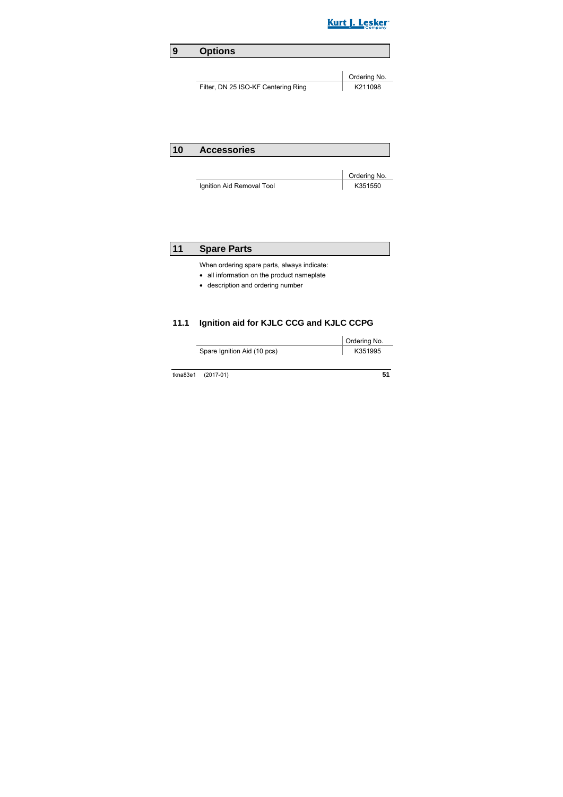

## **9 Options**

|                                     | <sup>'</sup> Ordering No. |
|-------------------------------------|---------------------------|
| Filter, DN 25 ISO-KF Centering Ring | K211098                   |

### **10 Accessories**

|                           | Ordering No. |
|---------------------------|--------------|
| Ignition Aid Removal Tool | K351550      |

### **11 Spare Parts**

When ordering spare parts, always indicate:

- all information on the product nameplate
- description and ordering number

### **11.1 Ignition aid for KJLC CCG and KJLC CCPG**

Ordering No.

Spare Ignition Aid (10 pcs) K351995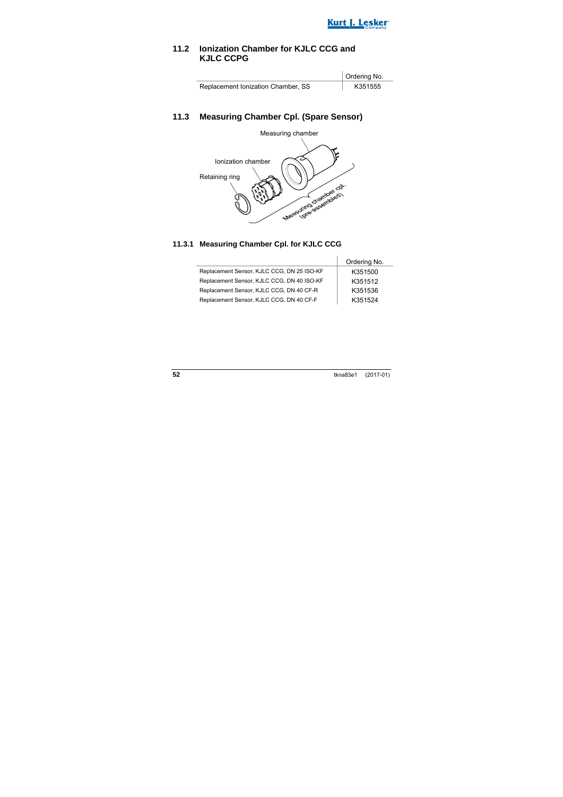

### **11.2 Ionization Chamber for KJLC CCG and KJLC CCPG**

|                                    | Ordering No. |
|------------------------------------|--------------|
| Replacement Ionization Chamber, SS | K351555      |

#### **11.3 Measuring Chamber Cpl. (Spare Sensor)**



#### **11.3.1 Measuring Chamber Cpl. for KJLC CCG**

|                                            | Ordering No. |
|--------------------------------------------|--------------|
| Replacement Sensor, KJLC CCG, DN 25 ISO-KF | K351500      |
| Replacement Sensor, KJLC CCG, DN 40 ISO-KF | K351512      |
| Replacement Sensor, KJLC CCG, DN 40 CF-R   | K351536      |
| Replacement Sensor, KJLC CCG, DN 40 CF-F   | K351524      |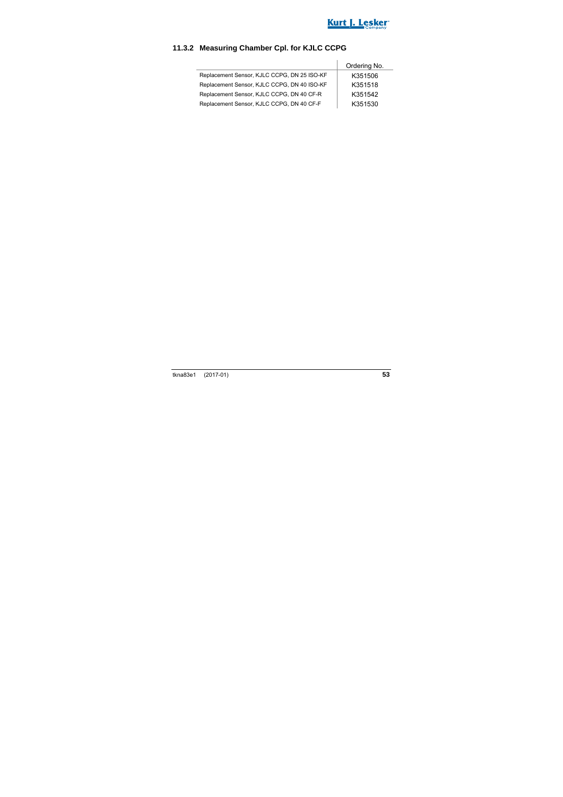

### **11.3.2 Measuring Chamber Cpl. for KJLC CCPG**

|                                             | Ordering No. |
|---------------------------------------------|--------------|
| Replacement Sensor, KJLC CCPG, DN 25 ISO-KF | K351506      |
| Replacement Sensor, KJLC CCPG, DN 40 ISO-KF | K351518      |
| Replacement Sensor, KJLC CCPG, DN 40 CF-R   | K351542      |
| Replacement Sensor, KJLC CCPG, DN 40 CF-F   | K351530      |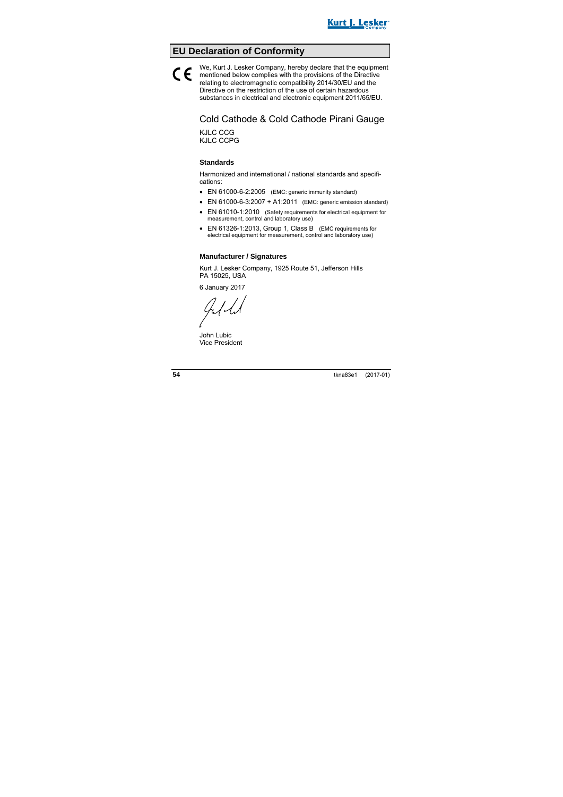## **EU Declaration of Conformity**

We, Kurt J. Lesker Company, hereby declare that the equipment mentioned below complies with the provisions of the Directive relating to electromagnetic compatibility 2014/30/EU and the Directive on the restriction of the use of certain hazardous substances in electrical and electronic equipment 2011/65/EU.  $\epsilon$ 

> Cold Cathode & Cold Cathode Pirani Gauge KJLC CCG KJLC CCPG

#### **Standards**

Harmonized and international / national standards and specifications:

- EN 61000-6-2:2005 (EMC: generic immunity standard)
- EN  $61000 6 3:2007 + A1:2011$  (EMC: generic emission standard)
- EN 61010-1:2010 (Safety requirements for electrical equipment for measurement, control and laboratory use)
- EN 61326-1:2013, Group 1, Class B (EMC requirements for electrical equipment for measurement, control and laboratory use)

#### **Manufacturer / Signatures**

Kurt J. Lesker Company, 1925 Route 51, Jefferson Hills PA 15025, USA

6 January 2017

Jal-L

John Lubic Vice President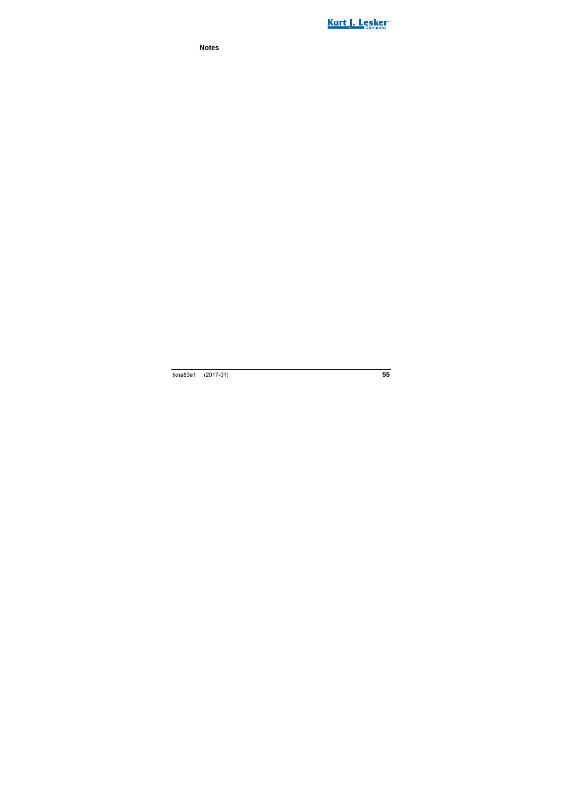

**Notes**